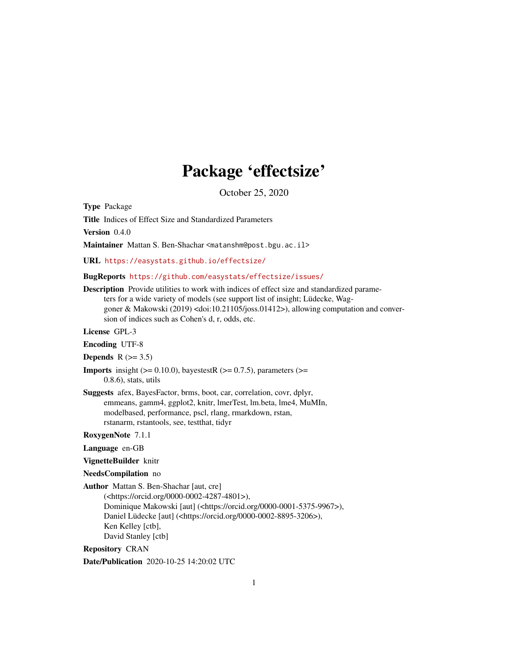# Package 'effectsize'

October 25, 2020

<span id="page-0-0"></span>Type Package

Title Indices of Effect Size and Standardized Parameters

Version 0.4.0

Maintainer Mattan S. Ben-Shachar <matanshm@post.bgu.ac.il>

URL <https://easystats.github.io/effectsize/>

BugReports <https://github.com/easystats/effectsize/issues/>

Description Provide utilities to work with indices of effect size and standardized parameters for a wide variety of models (see support list of insight; Lüdecke, Waggoner & Makowski (2019) <doi:10.21105/joss.01412>), allowing computation and conversion of indices such as Cohen's d, r, odds, etc.

License GPL-3

Encoding UTF-8

Depends  $R$  ( $> = 3.5$ )

- **Imports** insight  $(>= 0.10.0)$ , bay estest  $R (= 0.7.5)$ , parameters  $(>= 0.75)$ 0.8.6), stats, utils
- Suggests afex, BayesFactor, brms, boot, car, correlation, covr, dplyr, emmeans, gamm4, ggplot2, knitr, lmerTest, lm.beta, lme4, MuMIn, modelbased, performance, pscl, rlang, rmarkdown, rstan, rstanarm, rstantools, see, testthat, tidyr

RoxygenNote 7.1.1

Language en-GB

VignetteBuilder knitr

NeedsCompilation no

Author Mattan S. Ben-Shachar [aut, cre] (<https://orcid.org/0000-0002-4287-4801>), Dominique Makowski [aut] (<https://orcid.org/0000-0001-5375-9967>), Daniel Lüdecke [aut] (<https://orcid.org/0000-0002-8895-3206>), Ken Kelley [ctb], David Stanley [ctb]

Repository CRAN

Date/Publication 2020-10-25 14:20:02 UTC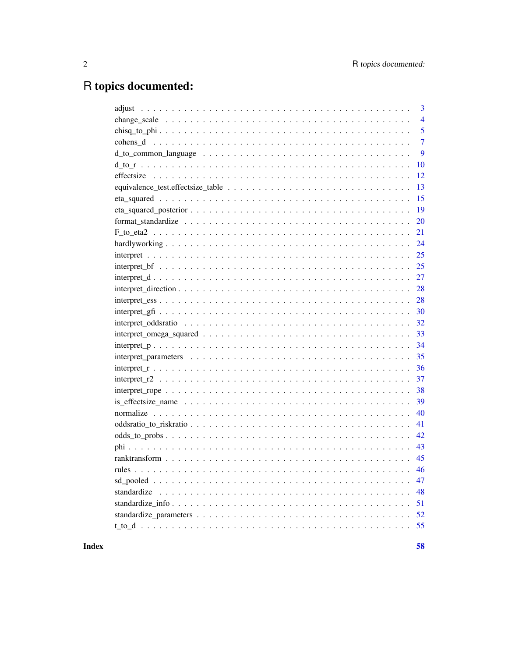# R topics documented:

| 3                                                                                                                |
|------------------------------------------------------------------------------------------------------------------|
| $\overline{4}$                                                                                                   |
| 5                                                                                                                |
| $\overline{7}$                                                                                                   |
| 9                                                                                                                |
| 10                                                                                                               |
| 12                                                                                                               |
| 13                                                                                                               |
| 15                                                                                                               |
| 19                                                                                                               |
| 20                                                                                                               |
| 21                                                                                                               |
| 24                                                                                                               |
| 25                                                                                                               |
| 25                                                                                                               |
| 27                                                                                                               |
| 28                                                                                                               |
| 28                                                                                                               |
| 30                                                                                                               |
| 32                                                                                                               |
| 33                                                                                                               |
| 34                                                                                                               |
| 35                                                                                                               |
| 36                                                                                                               |
| 37                                                                                                               |
| 38                                                                                                               |
| $is$ effectsize name $\ldots \ldots \ldots \ldots \ldots \ldots \ldots \ldots \ldots \ldots \ldots \ldots$<br>39 |
| 40                                                                                                               |
| 41                                                                                                               |
| 42                                                                                                               |
| 43                                                                                                               |
| 45                                                                                                               |
| 46                                                                                                               |
| 47                                                                                                               |
| 48                                                                                                               |
|                                                                                                                  |
|                                                                                                                  |
|                                                                                                                  |
|                                                                                                                  |

Index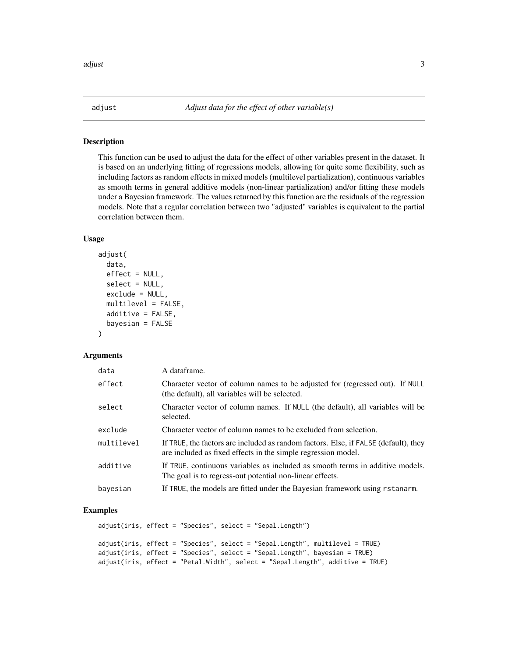<span id="page-2-0"></span>

#### Description

This function can be used to adjust the data for the effect of other variables present in the dataset. It is based on an underlying fitting of regressions models, allowing for quite some flexibility, such as including factors as random effects in mixed models (multilevel partialization), continuous variables as smooth terms in general additive models (non-linear partialization) and/or fitting these models under a Bayesian framework. The values returned by this function are the residuals of the regression models. Note that a regular correlation between two "adjusted" variables is equivalent to the partial correlation between them.

#### Usage

```
adjust(
  data,
  effect = NULL,select = NULL,
  exclude = NULL,
  multilevel = FALSE,
  additive = FALSE,
  bayesian = FALSE
)
```
## Arguments

| data       | A dataframe.                                                                                                                                         |
|------------|------------------------------------------------------------------------------------------------------------------------------------------------------|
| effect     | Character vector of column names to be adjusted for (regressed out). If NULL<br>(the default), all variables will be selected.                       |
| select     | Character vector of column names. If NULL (the default), all variables will be<br>selected.                                                          |
| exclude    | Character vector of column names to be excluded from selection.                                                                                      |
| multilevel | If TRUE, the factors are included as random factors. Else, if FALSE (default), they<br>are included as fixed effects in the simple regression model. |
| additive   | If TRUE, continuous variables as included as smooth terms in additive models.<br>The goal is to regress-out potential non-linear effects.            |
| bayesian   | If TRUE, the models are fitted under the Bayesian framework using rstanarm.                                                                          |

## Examples

adjust(iris, effect = "Species", select = "Sepal.Length")

```
adjust(iris, effect = "Species", select = "Sepal.Length", multilevel = TRUE)
adjust(iris, effect = "Species", select = "Sepal.Length", bayesian = TRUE)
adjust(iris, effect = "Petal.Width", select = "Sepal.Length", additive = TRUE)
```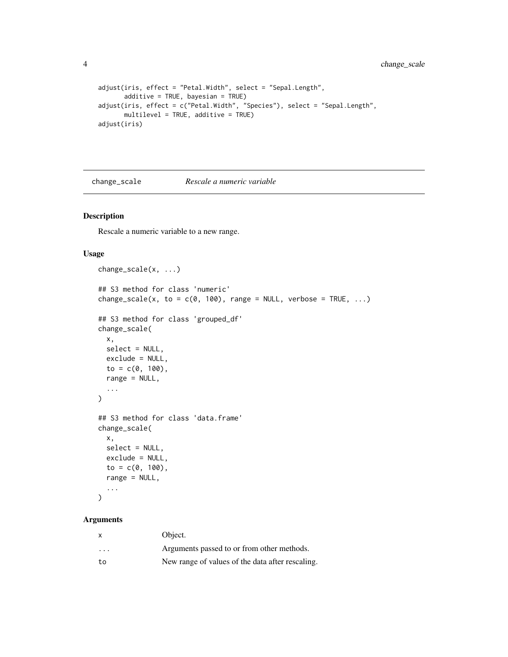```
adjust(iris, effect = "Petal.Width", select = "Sepal.Length",
      additive = TRUE, bayesian = TRUE)
adjust(iris, effect = c("Petal.Width", "Species"), select = "Sepal.Length",
      multilevel = TRUE, additive = TRUE)
adjust(iris)
```
<span id="page-3-1"></span>change\_scale *Rescale a numeric variable*

## Description

Rescale a numeric variable to a new range.

#### Usage

```
change_scale(x, ...)
## S3 method for class 'numeric'
change_scale(x, to = c(0, 100), range = NULL, verbose = TRUE, ...)
## S3 method for class 'grouped_df'
change_scale(
 x,
 select = NULL,
 exclude = NULL,
 to = c(0, 100),
 range = NULL,
  ...
\lambda## S3 method for class 'data.frame'
change_scale(
 x,
 select = NULL,
 exclude = NULL,
 to = c(0, 100),
 range = NULL,
  ...
\mathcal{L}
```
## Arguments

| x                       | Object.                                          |
|-------------------------|--------------------------------------------------|
| $\cdot$ $\cdot$ $\cdot$ | Arguments passed to or from other methods.       |
| to                      | New range of values of the data after rescaling. |

<span id="page-3-0"></span>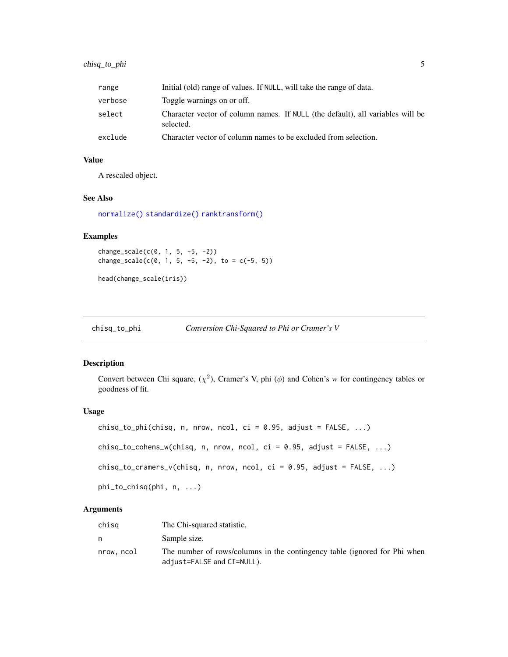## <span id="page-4-0"></span>chisq\_to\_phi 5

| range   | Initial (old) range of values. If NULL, will take the range of data.                        |
|---------|---------------------------------------------------------------------------------------------|
| verbose | Toggle warnings on or off.                                                                  |
| select  | Character vector of column names. If NULL (the default), all variables will be<br>selected. |
| exclude | Character vector of column names to be excluded from selection.                             |

#### Value

A rescaled object.

## See Also

[normalize\(\)](#page-39-1) [standardize\(\)](#page-47-1) [ranktransform\(\)](#page-44-1)

#### Examples

```
change_scale(c(0, 1, 5, -5, -2))
change_scale(c(0, 1, 5, -5, -2), to = c(-5, 5))
```
head(change\_scale(iris))

<span id="page-4-1"></span>chisq\_to\_phi *Conversion Chi-Squared to Phi or Cramer's V*

## Description

Convert between Chi square,  $(\chi^2)$ , Cramer's V, phi  $(\phi)$  and Cohen's *w* for contingency tables or goodness of fit.

#### Usage

```
chisq_to_phi(chisq, n, nrow, ncol, ci = 0.95, adjust = FALSE, ...)
chisq_to-cohens_w(chisq, n, nrow, ncol, ci = 0.95, adjust = FALSE, ...)chisq_to_cramers_v(chisq, n, nrow, ncol, ci = 0.95, adjust = FALSE, ...)phi_to_chisq(phi, n, ...)
```
## Arguments

| chisa      | The Chi-squared statistic.                                                                              |
|------------|---------------------------------------------------------------------------------------------------------|
| n          | Sample size.                                                                                            |
| nrow, ncol | The number of rows/columns in the contingency table (ignored for Phi when<br>adjust=FALSE and CI=NULL). |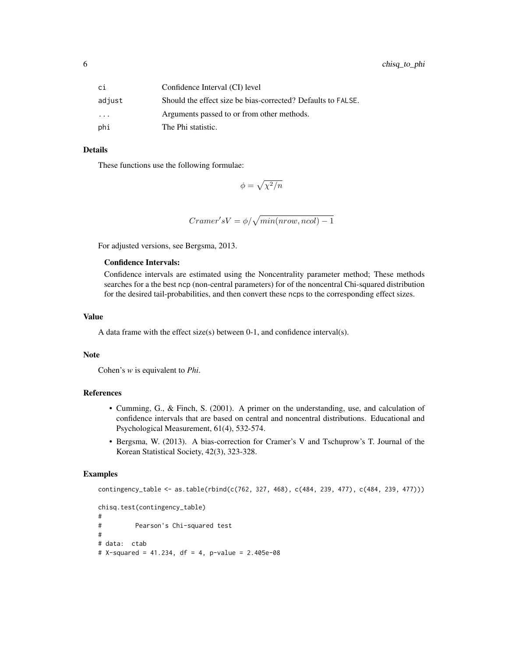| сi        | Confidence Interval (CI) level                               |
|-----------|--------------------------------------------------------------|
| adjust    | Should the effect size be bias-corrected? Defaults to FALSE. |
| $\ddotsc$ | Arguments passed to or from other methods.                   |
| phi       | The Phi statistic.                                           |

#### Details

These functions use the following formulae:

$$
\phi = \sqrt{\chi^2/n}
$$

 $Cramer'sV = \phi/\sqrt{min(nrow, ncol) - 1}$ 

For adjusted versions, see Bergsma, 2013.

#### Confidence Intervals:

Confidence intervals are estimated using the Noncentrality parameter method; These methods searches for a the best ncp (non-central parameters) for of the noncentral Chi-squared distribution for the desired tail-probabilities, and then convert these ncps to the corresponding effect sizes.

## Value

A data frame with the effect size(s) between 0-1, and confidence interval(s).

#### Note

Cohen's *w* is equivalent to *Phi*.

## References

- Cumming, G., & Finch, S. (2001). A primer on the understanding, use, and calculation of confidence intervals that are based on central and noncentral distributions. Educational and Psychological Measurement, 61(4), 532-574.
- Bergsma, W. (2013). A bias-correction for Cramer's V and Tschuprow's T. Journal of the Korean Statistical Society, 42(3), 323-328.

```
contingency_table <- as.table(rbind(c(762, 327, 468), c(484, 239, 477), c(484, 239, 477)))
chisq.test(contingency_table)
```

```
#
# Pearson's Chi-squared test
#
# data: ctab
# X-squared = 41.234, df = 4, p-value = 2.405e-08
```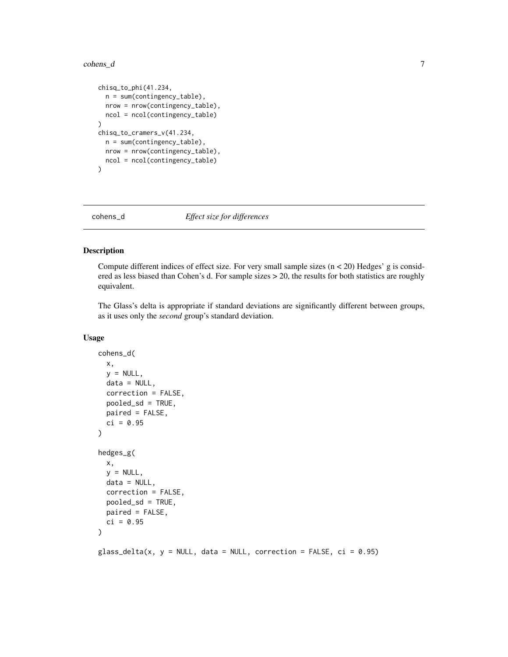#### <span id="page-6-0"></span>cohens\_d 7

```
chisq_to_phi(41.234,
  n = sum(contingency_table),
 nrow = nrow(contingency_table),
 ncol = ncol(contingency_table)
)
chisq_to_cramers_v(41.234,
  n = sum(contingency_table),
 nrow = nrow(contingency_table),
  ncol = ncol(contingency_table)
\mathcal{L}
```
<span id="page-6-1"></span>

cohens\_d *Effect size for differences*

## Description

Compute different indices of effect size. For very small sample sizes  $(n < 20)$  Hedges' g is considered as less biased than Cohen's d. For sample sizes > 20, the results for both statistics are roughly equivalent.

The Glass's delta is appropriate if standard deviations are significantly different between groups, as it uses only the *second* group's standard deviation.

## Usage

```
cohens_d(
  x,
 y = NULL,data = NULL,correction = FALSE,
 pooled_sd = TRUE,
 paired = FALSE,
  ci = 0.95)
hedges_g(
 x,
 y = NULL,data = NULL,correction = FALSE,
 pooled_sd = TRUE,
 paired = FALSE,
 ci = 0.95)
glass\_delta(x, y = NULL, data = NULL, correction = FALSE, ci = 0.95)
```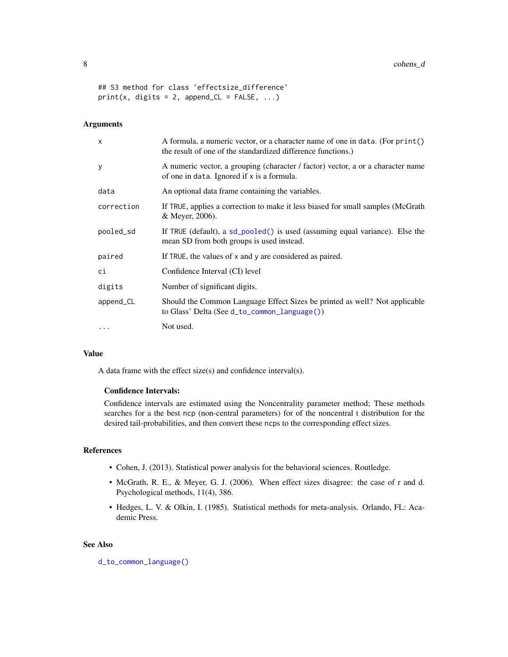```
## S3 method for class 'effectsize_difference'
print(x, digits = 2, append_CL = FALSE, ...)
```
#### Arguments

| $\times$   | A formula, a numeric vector, or a character name of one in data. (For print()<br>the result of one of the standardized difference functions.) |
|------------|-----------------------------------------------------------------------------------------------------------------------------------------------|
| y          | A numeric vector, a grouping (character / factor) vector, a or a character name<br>of one in data. Ignored if x is a formula.                 |
| data       | An optional data frame containing the variables.                                                                                              |
| correction | If TRUE, applies a correction to make it less biased for small samples (McGrath<br>& Meyer, 2006).                                            |
| pooled_sd  | If TRUE (default), a sd_pooled() is used (assuming equal variance). Else the<br>mean SD from both groups is used instead.                     |
| paired     | If TRUE, the values of x and y are considered as paired.                                                                                      |
| ci         | Confidence Interval (CI) level                                                                                                                |
| digits     | Number of significant digits.                                                                                                                 |
| append_CL  | Should the Common Language Effect Sizes be printed as well? Not applicable<br>to Glass' Delta (See d_to_common_language())                    |
| $\cdots$   | Not used.                                                                                                                                     |

## Value

A data frame with the effect size(s) and confidence interval(s).

## Confidence Intervals:

Confidence intervals are estimated using the Noncentrality parameter method; These methods searches for a the best ncp (non-central parameters) for of the noncentral t distribution for the desired tail-probabilities, and then convert these ncps to the corresponding effect sizes.

## References

- Cohen, J. (2013). Statistical power analysis for the behavioral sciences. Routledge.
- McGrath, R. E., & Meyer, G. J. (2006). When effect sizes disagree: the case of r and d. Psychological methods, 11(4), 386.
- Hedges, L. V. & Olkin, I. (1985). Statistical methods for meta-analysis. Orlando, FL: Academic Press.

#### See Also

[d\\_to\\_common\\_language\(\)](#page-8-1)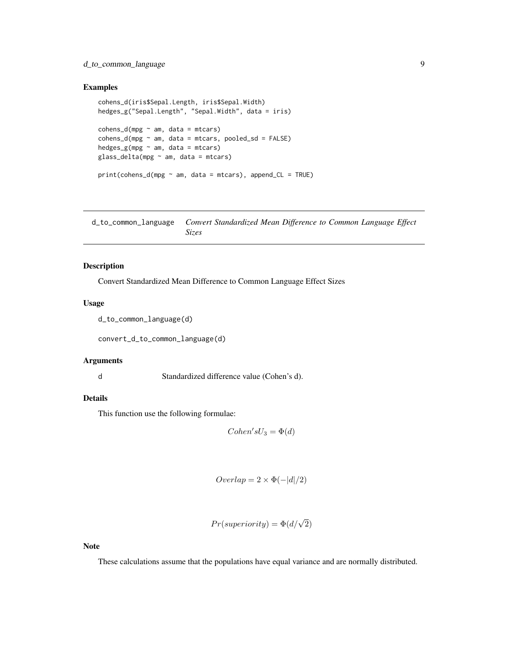## <span id="page-8-0"></span>d\_to\_common\_language 9

## Examples

```
cohens_d(iris$Sepal.Length, iris$Sepal.Width)
hedges_g("Sepal.Length", "Sepal.Width", data = iris)
cohens_d(mpg \sim am, data = mtcars)cohens_d(mpg \sim am, data = mtcars, pooled_s d = FALSE)hedges_g(mpg \sim am, data = mtcars)
glass_delta(mpg ~ am, data = mtcars)
print(cohens_d(mpg \sim am, data = mtcars), append_CL = TRUE)
```
<span id="page-8-1"></span>

| d_to_common_language  Convert Standardized Mean Difference to Common Language Effect |  |
|--------------------------------------------------------------------------------------|--|
| Sizes                                                                                |  |

## Description

Convert Standardized Mean Difference to Common Language Effect Sizes

## Usage

```
d_to_common_language(d)
```
convert\_d\_to\_common\_language(d)

## Arguments

d Standardized difference value (Cohen's d).

#### Details

This function use the following formulae:

 $Cohen'sU_3 = \Phi(d)$ 

$$
Overlap = 2 \times \Phi(-|d|/2)
$$

$$
Pr(superiority) = \Phi(d/\sqrt{2})
$$

Note

These calculations assume that the populations have equal variance and are normally distributed.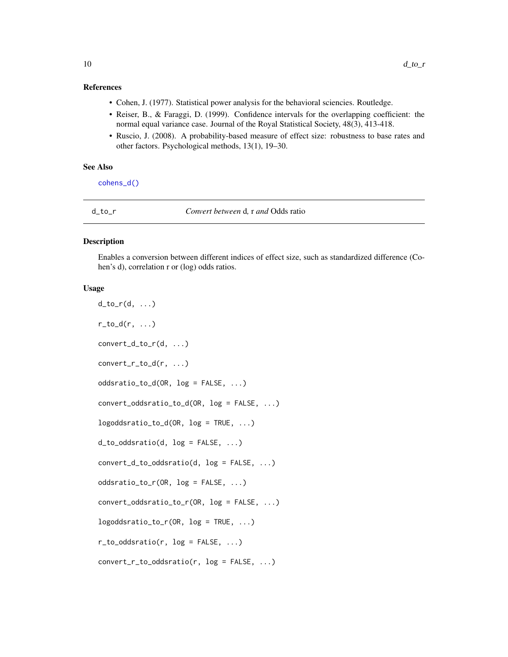## <span id="page-9-0"></span>References

- Cohen, J. (1977). Statistical power analysis for the behavioral sciencies. Routledge.
- Reiser, B., & Faraggi, D. (1999). Confidence intervals for the overlapping coefficient: the normal equal variance case. Journal of the Royal Statistical Society, 48(3), 413-418.
- Ruscio, J. (2008). A probability-based measure of effect size: robustness to base rates and other factors. Psychological methods, 13(1), 19–30.

#### See Also

[cohens\\_d\(\)](#page-6-1)

<span id="page-9-1"></span>

d\_to\_r *Convert between* d*,* r *and* Odds ratio

## <span id="page-9-2"></span>Description

Enables a conversion between different indices of effect size, such as standardized difference (Cohen's d), correlation r or (log) odds ratios.

## Usage

 $d_to_r(d, \ldots)$  $r_to_d(r, \ldots)$ convert\_d\_to\_r(d, ...) convert\_r\_to\_d(r, ...) oddsratio\_to\_d(OR, log = FALSE, ...) convert\_oddsratio\_to\_d(OR, log = FALSE, ...) logoddsratio\_to\_d(OR, log = TRUE, ...) d\_to\_oddsratio(d, log = FALSE, ...) convert\_d\_to\_oddsratio(d, log = FALSE, ...) oddsratio\_to\_r(OR, log = FALSE, ...) convert\_oddsratio\_to\_r(OR, log = FALSE, ...) logoddsratio\_to\_r(OR, log = TRUE, ...)  $r_to_oddsratio(r, log = FALSE, ...)$ convert\_r\_to\_oddsratio(r, log = FALSE, ...)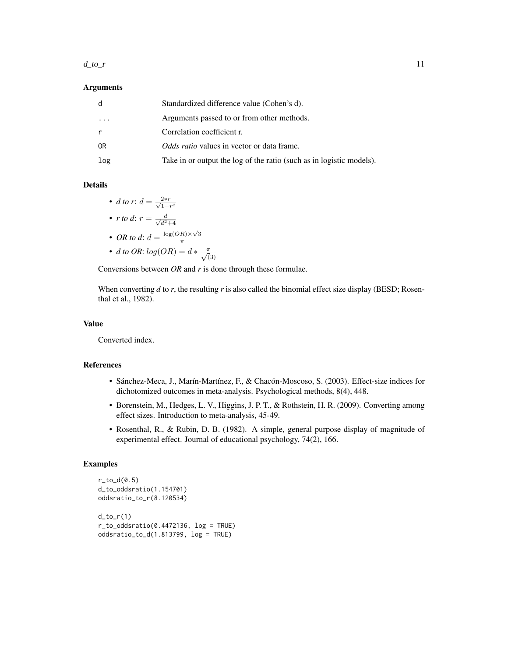#### $d_to_r$  11

#### Arguments

| d        | Standardized difference value (Cohen's d).                           |
|----------|----------------------------------------------------------------------|
| $\cdots$ | Arguments passed to or from other methods.                           |
|          | Correlation coefficient r.                                           |
| 0R       | <i>Odds ratio</i> values in vector or data frame.                    |
| log      | Take in or output the log of the ratio (such as in logistic models). |

#### Details

• d to r: 
$$
d = \frac{2*r}{\sqrt{1-r^2}}
$$

- *r to d*:  $r = \frac{d}{\sqrt{d^2}}$  $d^2+4$
- *OR to d*:  $d = \frac{\log(OR) \times \sqrt{3}}{\pi}$ π
- *d to OR*:  $log(OR) = d * \frac{\pi}{\sqrt{3}}$

Conversions between *OR* and *r* is done through these formulae.

When converting *d* to *r*, the resulting *r* is also called the binomial effect size display (BESD; Rosenthal et al., 1982).

## Value

Converted index.

#### References

- Sánchez-Meca, J., Marín-Martínez, F., & Chacón-Moscoso, S. (2003). Effect-size indices for dichotomized outcomes in meta-analysis. Psychological methods, 8(4), 448.
- Borenstein, M., Hedges, L. V., Higgins, J. P. T., & Rothstein, H. R. (2009). Converting among effect sizes. Introduction to meta-analysis, 45-49.
- Rosenthal, R., & Rubin, D. B. (1982). A simple, general purpose display of magnitude of experimental effect. Journal of educational psychology, 74(2), 166.

```
r_to_d(0.5)d_to_oddsratio(1.154701)
oddsratio_to_r(8.120534)
d_to_r(1)
r_to_oddsratio(0.4472136, log = TRUE)oddsratio_to_d(1.813799, log = TRUE)
```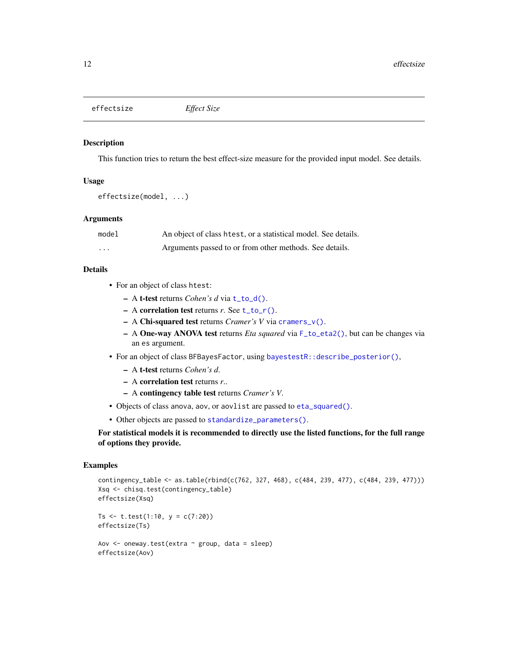<span id="page-11-0"></span>effectsize *Effect Size*

#### Description

This function tries to return the best effect-size measure for the provided input model. See details.

#### Usage

```
effectsize(model, ...)
```
## Arguments

| model | An object of class hett, or a statistical model. See details. |
|-------|---------------------------------------------------------------|
| .     | Arguments passed to or from other methods. See details.       |

## Details

- For an object of class htest:
	- A t-test returns *Cohen's d* via [t\\_to\\_d\(\)](#page-54-1).
	- A correlation test returns *r*. See [t\\_to\\_r\(\)](#page-54-2).
	- A Chi-squared test returns *Cramer's V* via [cramers\\_v\(\)](#page-42-1).
	- A One-way ANOVA test returns *Eta squared* via [F\\_to\\_eta2\(\)](#page-20-1), but can be changes via an es argument.
- For an object of class BFBayesFactor, using [bayestestR::describe\\_posterior\(\)](#page-0-0),
	- A t-test returns *Cohen's d*.
	- A correlation test returns *r*..
	- A contingency table test returns *Cramer's V*.
- Objects of class anova, aov, or aovlist are passed to [eta\\_squared\(\)](#page-14-1).
- Other objects are passed to [standardize\\_parameters\(\)](#page-51-1).

For statistical models it is recommended to directly use the listed functions, for the full range of options they provide.

```
contingency_table <- as.table(rbind(c(762, 327, 468), c(484, 239, 477), c(484, 239, 477)))
Xsq <- chisq.test(contingency_table)
effectsize(Xsq)
Ts \le t.test(1:10, y = c(7:20))
effectsize(Ts)
Aov \leq oneway.test(extra \sim group, data = sleep)
effectsize(Aov)
```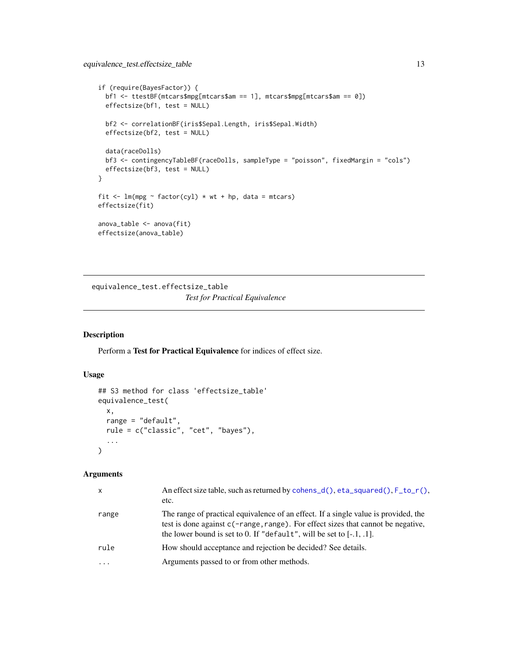```
if (require(BayesFactor)) {
  bf1 <- ttestBF(mtcars$mpg[mtcars$am == 1], mtcars$mpg[mtcars$am == 0])
  effectsize(bf1, test = NULL)
  bf2 <- correlationBF(iris$Sepal.Length, iris$Sepal.Width)
  effectsize(bf2, test = NULL)
  data(raceDolls)
  bf3 <- contingencyTableBF(raceDolls, sampleType = "poisson", fixedMargin = "cols")
  effectsize(bf3, test = NULL)
}
fit \leq lm(mpg \sim factor(cyl) \star wt + hp, data = mtcars)
effectsize(fit)
anova_table <- anova(fit)
effectsize(anova_table)
```
equivalence\_test.effectsize\_table *Test for Practical Equivalence*

#### Description

Perform a Test for Practical Equivalence for indices of effect size.

## Usage

```
## S3 method for class 'effectsize_table'
equivalence_test(
  x,
  range = "default",
  rule = c("classic", "cet", "bayes"),
  ...
\mathcal{L}
```
## Arguments

| X       | An effect size table, such as returned by cohens_d(), eta_squared(), $F_to_r()$ ,<br>etc.                                                                                                                                                        |
|---------|--------------------------------------------------------------------------------------------------------------------------------------------------------------------------------------------------------------------------------------------------|
| range   | The range of practical equivalence of an effect. If a single value is provided, the<br>test is done against c(-range, range). For effect sizes that cannot be negative,<br>the lower bound is set to 0. If "default", will be set to $[-1, 1]$ . |
| rule    | How should acceptance and rejection be decided? See details.                                                                                                                                                                                     |
| $\cdot$ | Arguments passed to or from other methods.                                                                                                                                                                                                       |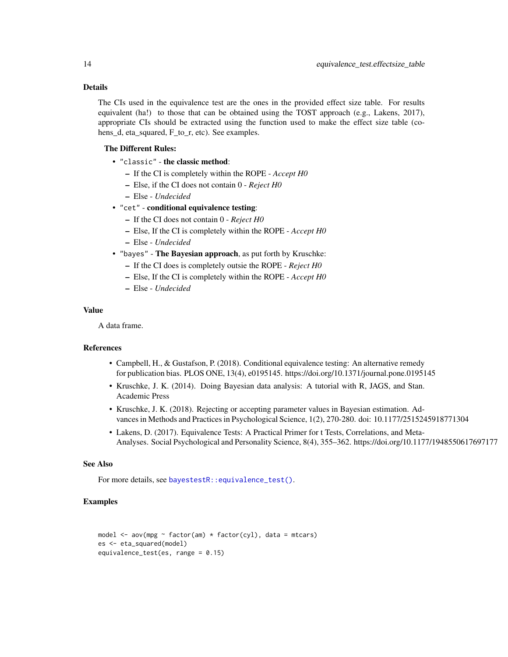#### Details

The CIs used in the equivalence test are the ones in the provided effect size table. For results equivalent (ha!) to those that can be obtained using the TOST approach (e.g., Lakens, 2017), appropriate CIs should be extracted using the function used to make the effect size table (cohens\_d, eta\_squared, F\_to\_r, etc). See examples.

#### The Different Rules:

- "classic" the classic method:
	- If the CI is completely within the ROPE *Accept H0*
	- Else, if the CI does not contain 0 *Reject H0*
	- Else *Undecided*
- "cet" conditional equivalence testing:
	- If the CI does not contain 0 *Reject H0*
	- Else, If the CI is completely within the ROPE *Accept H0*
	- Else *Undecided*
- "bayes" The Bayesian approach, as put forth by Kruschke:
	- If the CI does is completely outsie the ROPE *Reject H0*
	- Else, If the CI is completely within the ROPE *Accept H0*
	- Else *Undecided*

## Value

A data frame.

#### References

- Campbell, H., & Gustafson, P. (2018). Conditional equivalence testing: An alternative remedy for publication bias. PLOS ONE, 13(4), e0195145. https://doi.org/10.1371/journal.pone.0195145
- Kruschke, J. K. (2014). Doing Bayesian data analysis: A tutorial with R, JAGS, and Stan. Academic Press
- Kruschke, J. K. (2018). Rejecting or accepting parameter values in Bayesian estimation. Advances in Methods and Practices in Psychological Science, 1(2), 270-280. doi: 10.1177/2515245918771304
- Lakens, D. (2017). Equivalence Tests: A Practical Primer for t Tests, Correlations, and Meta-Analyses. Social Psychological and Personality Science, 8(4), 355–362. https://doi.org/10.1177/1948550617697177

#### See Also

For more details, see [bayestestR::equivalence\\_test\(\)](#page-0-0).

```
model \leq aov(mpg \sim factor(am) \star factor(cyl), data = mtcars)
es <- eta_squared(model)
equivalence_test(es, range = 0.15)
```
<span id="page-13-0"></span>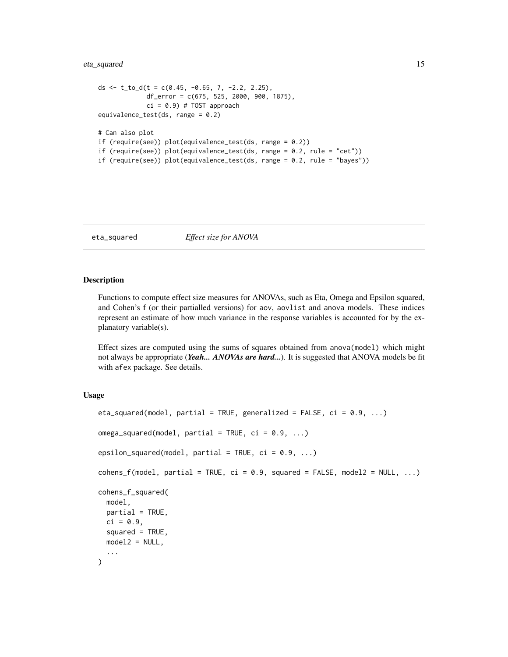## <span id="page-14-0"></span>eta\_squared 15

```
ds \leftarrow t_to_d(t = c(0.45, -0.65, 7, -2.2, 2.25),
             df_error = c(675, 525, 2000, 900, 1875),
             ci = 0.9) # TOST approach
equivalence_test(ds, range = 0.2)
# Can also plot
if (require(see)) plot(equivalence_test(ds, range = 0.2))
if (require(see)) plot(equivalence_test(ds, range = 0.2, rule = "cet"))
if (require(see)) plot(equivalence_test(ds, range = 0.2, rule = "bayes"))
```

```
eta_squared Effect size for ANOVA
```
#### Description

Functions to compute effect size measures for ANOVAs, such as Eta, Omega and Epsilon squared, and Cohen's f (or their partialled versions) for aov, aovlist and anova models. These indices represent an estimate of how much variance in the response variables is accounted for by the explanatory variable(s).

Effect sizes are computed using the sums of squares obtained from anova(model) which might not always be appropriate (*Yeah... ANOVAs are hard...*). It is suggested that ANOVA models be fit with afex package. See details.

#### Usage

```
eta_squared(model, partial = TRUE, generalized = FALSE, ci = 0.9, ...)
omega_squared(model, partial = TRUE, ci = 0.9, ...)
epsilon_squared(model, partial = TRUE, ci = 0.9, ...)
cohens_f(model, partial = TRUE, ci = 0.9, squared = FALSE, model2 = NULL, ...)
cohens_f_squared(
 model,
 partial = TRUE,
 ci = 0.9,
 squared = TRUE,
 model2 = NULL,...
)
```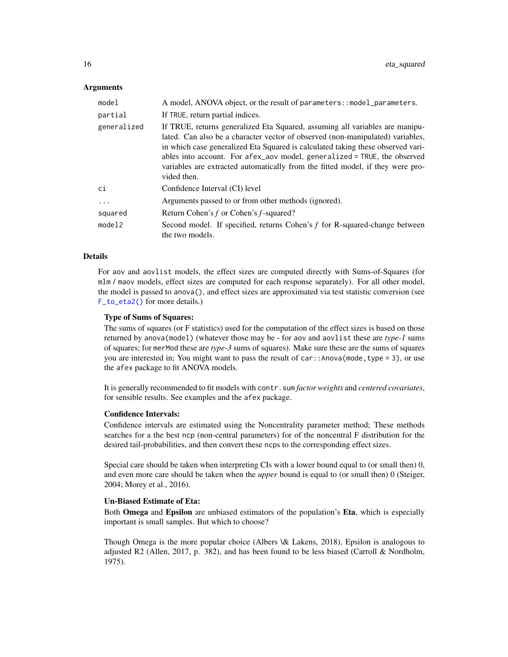#### <span id="page-15-0"></span>**Arguments**

| model       | A model, ANOVA object, or the result of parameters: : model_parameters.                                                                                                                                                                                                                                                                                                                                                        |
|-------------|--------------------------------------------------------------------------------------------------------------------------------------------------------------------------------------------------------------------------------------------------------------------------------------------------------------------------------------------------------------------------------------------------------------------------------|
| partial     | If TRUE, return partial indices.                                                                                                                                                                                                                                                                                                                                                                                               |
| generalized | If TRUE, returns generalized Eta Squared, assuming all variables are manipu-<br>lated. Can also be a character vector of observed (non-manipulated) variables,<br>in which case generalized Eta Squared is calculated taking these observed vari-<br>ables into account. For afex_aov model, generalized = TRUE, the observed<br>variables are extracted automatically from the fitted model, if they were pro-<br>vided then. |
| сi          | Confidence Interval (CI) level                                                                                                                                                                                                                                                                                                                                                                                                 |
| $\ddots$    | Arguments passed to or from other methods (ignored).                                                                                                                                                                                                                                                                                                                                                                           |
| squared     | Return Cohen's f or Cohen's f-squared?                                                                                                                                                                                                                                                                                                                                                                                         |
| model2      | Second model. If specified, returns Cohen's $f$ for R-squared-change between<br>the two models.                                                                                                                                                                                                                                                                                                                                |

#### Details

For aov and aovlist models, the effect sizes are computed directly with Sums-of-Squares (for mlm / maov models, effect sizes are computed for each response separately). For all other model, the model is passed to anova(), and effect sizes are approximated via test statistic conversion (see [F\\_to\\_eta2\(\)](#page-20-1) for more details.)

## Type of Sums of Squares:

The sums of squares (or F statistics) used for the computation of the effect sizes is based on those returned by anova(model) (whatever those may be - for aov and aovlist these are *type-1* sums of squares; for merMod these are *type-3* sums of squares). Make sure these are the sums of squares you are interested in; You might want to pass the result of  $car:$ : Anova (mode, type = 3), or use the afex package to fit ANOVA models.

It is generally recommended to fit models with contr.sum *factor weights* and *centered covariates*, for sensible results. See examples and the afex package.

## Confidence Intervals:

Confidence intervals are estimated using the Noncentrality parameter method; These methods searches for a the best ncp (non-central parameters) for of the noncentral F distribution for the desired tail-probabilities, and then convert these ncps to the corresponding effect sizes.

Special care should be taken when interpreting CIs with a lower bound equal to (or small then) 0, and even more care should be taken when the *upper* bound is equal to (or small then) 0 (Steiger, 2004; Morey et al., 2016).

#### Un-Biased Estimate of Eta:

Both Omega and Epsilon are unbiased estimators of the population's Eta, which is especially important is small samples. But which to choose?

Though Omega is the more popular choice (Albers \& Lakens, 2018), Epsilon is analogous to adjusted R2 (Allen, 2017, p. 382), and has been found to be less biased (Carroll & Nordholm, 1975).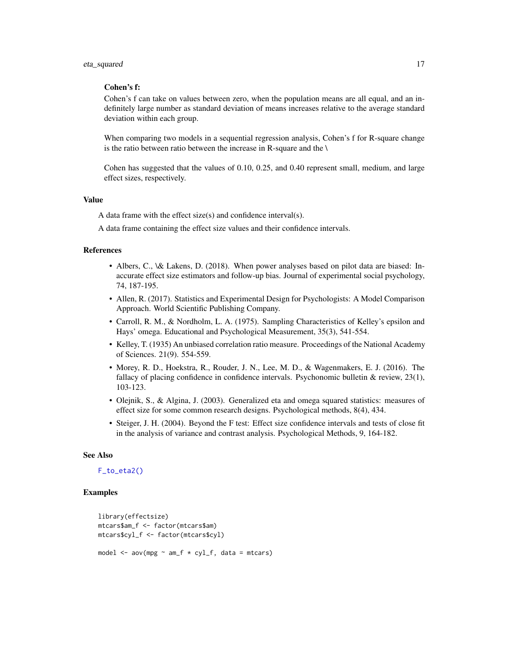## <span id="page-16-0"></span>Cohen's f:

Cohen's f can take on values between zero, when the population means are all equal, and an indefinitely large number as standard deviation of means increases relative to the average standard deviation within each group.

When comparing two models in a sequential regression analysis, Cohen's f for R-square change is the ratio between ratio between the increase in R-square and the \

Cohen has suggested that the values of 0.10, 0.25, and 0.40 represent small, medium, and large effect sizes, respectively.

## Value

A data frame with the effect size(s) and confidence interval(s).

A data frame containing the effect size values and their confidence intervals.

## References

- Albers, C., \& Lakens, D. (2018). When power analyses based on pilot data are biased: Inaccurate effect size estimators and follow-up bias. Journal of experimental social psychology, 74, 187-195.
- Allen, R. (2017). Statistics and Experimental Design for Psychologists: A Model Comparison Approach. World Scientific Publishing Company.
- Carroll, R. M., & Nordholm, L. A. (1975). Sampling Characteristics of Kelley's epsilon and Hays' omega. Educational and Psychological Measurement, 35(3), 541-554.
- Kelley, T. (1935) An unbiased correlation ratio measure. Proceedings of the National Academy of Sciences. 21(9). 554-559.
- Morey, R. D., Hoekstra, R., Rouder, J. N., Lee, M. D., & Wagenmakers, E. J. (2016). The fallacy of placing confidence in confidence intervals. Psychonomic bulletin & review, 23(1), 103-123.
- Olejnik, S., & Algina, J. (2003). Generalized eta and omega squared statistics: measures of effect size for some common research designs. Psychological methods, 8(4), 434.
- Steiger, J. H. (2004). Beyond the F test: Effect size confidence intervals and tests of close fit in the analysis of variance and contrast analysis. Psychological Methods, 9, 164-182.

#### See Also

## [F\\_to\\_eta2\(\)](#page-20-1)

```
library(effectsize)
mtcars$am_f <- factor(mtcars$am)
mtcars$cyl_f <- factor(mtcars$cyl)
model \leq aov(mpg \sim am_f \star cyl_f, data = mtcars)
```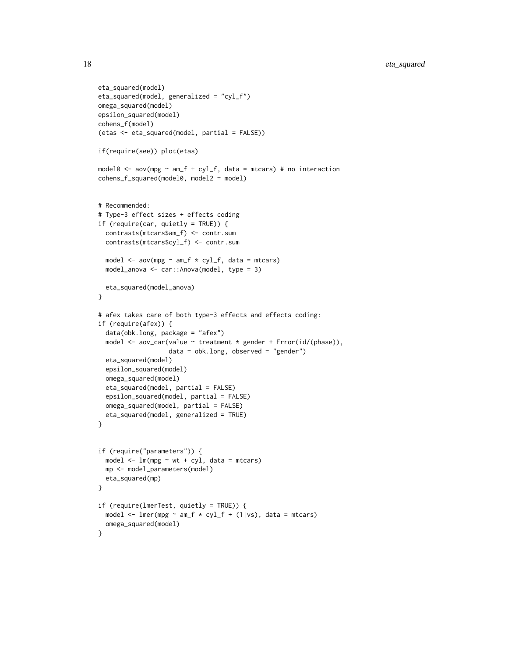```
eta_squared(model)
eta_squared(model, generalized = "cyl_f")
omega_squared(model)
epsilon_squared(model)
cohens_f(model)
(etas <- eta_squared(model, partial = FALSE))
if(require(see)) plot(etas)
model0 <- aov(mpg \sim am_f + cyl_f, data = mtcars) # no interaction
cohens_f_squared(model0, model2 = model)
# Recommended:
# Type-3 effect sizes + effects coding
if (require(car, quietly = TRUE)) {
 contrasts(mtcars$am_f) <- contr.sum
 contrasts(mtcars$cyl_f) <- contr.sum
 model \leq aov(mpg \sim am_f \star cyl_f, data = mtcars)
 model_anova <- car::Anova(model, type = 3)
 eta_squared(model_anova)
}
# afex takes care of both type-3 effects and effects coding:
if (require(afex)) {
 data(obk.long, package = "afex")
 model <- aov_car(value ~ treatment * gender + Error(id/(phase)),
                   data = obk.long, observed = "gender")
 eta_squared(model)
 epsilon_squared(model)
 omega_squared(model)
 eta_squared(model, partial = FALSE)
 epsilon_squared(model, partial = FALSE)
 omega_squared(model, partial = FALSE)
 eta_squared(model, generalized = TRUE)
}
if (require("parameters")) {
 model <- lm(mpg ~ wt + cyl, data = mtcars)
 mp <- model_parameters(model)
 eta_squared(mp)
}
if (require(lmerTest, quietly = TRUE)) {
 model \leq lmer(mpg \sim am_f \star cyl_f + (1|vs), data = mtcars)
 omega_squared(model)
}
```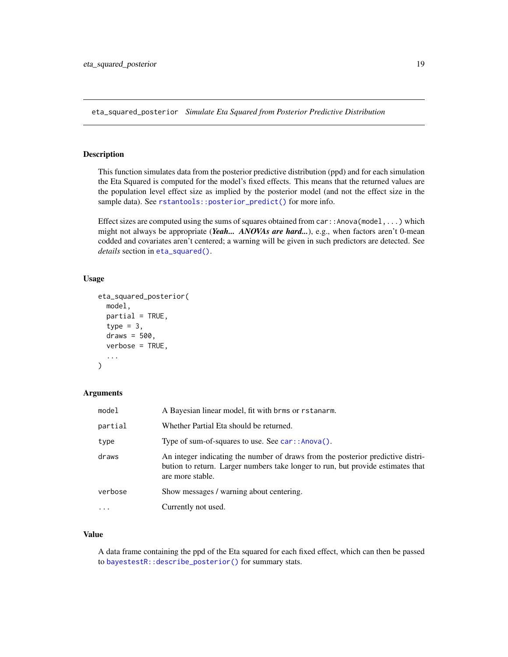<span id="page-18-0"></span>eta\_squared\_posterior *Simulate Eta Squared from Posterior Predictive Distribution*

#### Description

This function simulates data from the posterior predictive distribution (ppd) and for each simulation the Eta Squared is computed for the model's fixed effects. This means that the returned values are the population level effect size as implied by the posterior model (and not the effect size in the sample data). See [rstantools::posterior\\_predict\(\)](#page-0-0) for more info.

Effect sizes are computed using the sums of squares obtained from  $car:Annova(mod 1, ...)$  which might not always be appropriate (*Yeah... ANOVAs are hard...*), e.g., when factors aren't 0-mean codded and covariates aren't centered; a warning will be given in such predictors are detected. See *details* section in [eta\\_squared\(\)](#page-14-1).

## Usage

```
eta_squared_posterior(
 model,
 partial = TRUE,type = 3,
  draws = 500,
  verbose = TRUE,
  ...
)
```
## Arguments

| model   | A Bayesian linear model, fit with brms or rstanarm.                                                                                                                                    |
|---------|----------------------------------------------------------------------------------------------------------------------------------------------------------------------------------------|
| partial | Whether Partial Eta should be returned.                                                                                                                                                |
| type    | Type of sum-of-squares to use. See car::Anova().                                                                                                                                       |
| draws   | An integer indicating the number of draws from the posterior predictive distri-<br>bution to return. Larger numbers take longer to run, but provide estimates that<br>are more stable. |
| verbose | Show messages / warning about centering.                                                                                                                                               |
| .       | Currently not used.                                                                                                                                                                    |
|         |                                                                                                                                                                                        |

## Value

A data frame containing the ppd of the Eta squared for each fixed effect, which can then be passed to [bayestestR::describe\\_posterior\(\)](#page-0-0) for summary stats.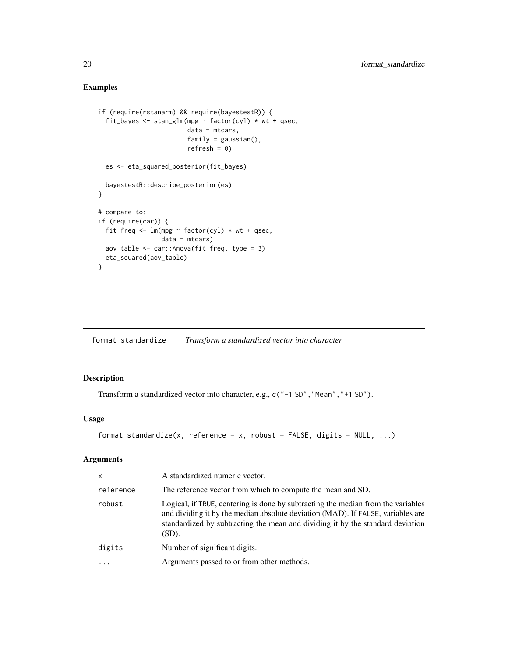## Examples

```
if (require(rstanarm) && require(bayestestR)) {
  fit_bayes <- stan_glm(mpg \sim factor(cyl) * wt + qsec,
                        data = mtcars,
                        family = gaussian(),
                        refresh = 0)es <- eta_squared_posterior(fit_bayes)
 bayestestR::describe_posterior(es)
}
# compare to:
if (require(car)) {
 fit_freq <- lm(mpg \sim factor(cyl) \times wt + qsec,data = mtcars)aov_table <- car::Anova(fit_freq, type = 3)
  eta_squared(aov_table)
}
```
format\_standardize *Transform a standardized vector into character*

## Description

Transform a standardized vector into character, e.g., c("-1 SD", "Mean", "+1 SD").

#### Usage

```
format_standardize(x, reference = x, robust = FALSE, digits = NULL, \dots)
```
#### Arguments

| $\mathsf{x}$ | A standardized numeric vector.                                                                                                                                                                                                                                 |
|--------------|----------------------------------------------------------------------------------------------------------------------------------------------------------------------------------------------------------------------------------------------------------------|
| reference    | The reference vector from which to compute the mean and SD.                                                                                                                                                                                                    |
| robust       | Logical, if TRUE, centering is done by subtracting the median from the variables<br>and dividing it by the median absolute deviation (MAD). If FALSE, variables are<br>standardized by subtracting the mean and dividing it by the standard deviation<br>(SD). |
| digits       | Number of significant digits.                                                                                                                                                                                                                                  |
|              | Arguments passed to or from other methods.                                                                                                                                                                                                                     |

<span id="page-19-0"></span>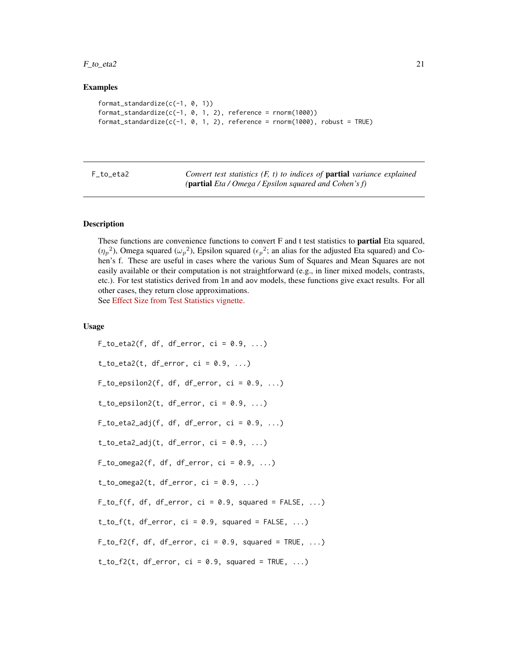#### <span id="page-20-0"></span> $F_{\text{1}}$  to  $_{\text{21}}$  eta $2$

#### Examples

```
format_standardize(c(-1, 0, 1))
format_standardize(c(-1, 0, 1, 2), reference = rnorm(1000))
format\_standardize(c(-1, 0, 1, 2), reference = rnorm(1000), robust = TRUE)
```
<span id="page-20-1"></span>

| ρ.<br>$\sigma$ |  |
|----------------|--|
|----------------|--|

Convert test statistics (F, t) to indices of **partial** variance explained *(*partial *Eta / Omega / Epsilon squared and Cohen's f)*

## **Description**

These functions are convenience functions to convert F and t test statistics to **partial** Eta squared,  $(\eta_p^2)$ , Omega squared  $(\omega_p^2)$ , Epsilon squared  $(\epsilon_p^2)$ ; an alias for the adjusted Eta squared) and Cohen's f. These are useful in cases where the various Sum of Squares and Mean Squares are not easily available or their computation is not straightforward (e.g., in liner mixed models, contrasts, etc.). For test statistics derived from lm and aov models, these functions give exact results. For all other cases, they return close approximations.

See [Effect Size from Test Statistics vignette.](https://easystats.github.io/effectsize/articles/from_test_statistics.html)

#### Usage

 $F_to_eta2(f, df, df_error, ci = 0.9, ...)$  $t_to_eta2(t, df_error, ci = 0.9, ...)$  $F_to_epsilon2(f, df, df_error, ci = 0.9, ...)$  $t_to_epsilon( t, df_error, ci = 0.9, ... )$  $F_to_eta2_adj(f, df, df_error, ci = 0.9, ...)$  $t_to_eta2_adj(t, df_error, ci = 0.9, ...)$  $F_to_omega2(f, df, df_error, ci = 0.9, ...)$  $t_to_omega2(t, df_error, ci = 0.9, ...)$  $F_to_f(f, df, df_error, ci = 0.9, squared = FALSE, ...)$  $t_to_f(t, df_error, ci = 0.9, squared = FALSE, ...)$  $F_to_f2(f, df, df_error, ci = 0.9, squared = TRUE, ...)$  $t_to_f2(t, df_error, ci = 0.9, squared = TRUE, ...)$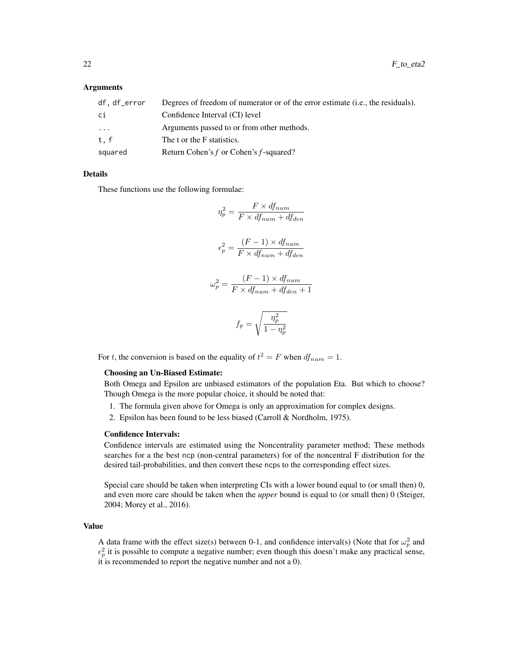#### Arguments

| df.df_error | Degrees of freedom of numerator or of the error estimate ( <i>i.e.</i> , the residuals). |
|-------------|------------------------------------------------------------------------------------------|
| сi          | Confidence Interval (CI) level                                                           |
| .           | Arguments passed to or from other methods.                                               |
| t.f         | The t or the F statistics.                                                               |
| squared     | Return Cohen's $f$ or Cohen's $f$ -squared?                                              |

## Details

These functions use the following formulae:

$$
\eta_p^2 = \frac{F \times df_{num}}{F \times df_{num} + df_{den}}
$$

$$
\epsilon_p^2 = \frac{(F - 1) \times df_{num}}{F \times df_{num} + df_{den}}
$$

$$
\omega_p^2 = \frac{(F - 1) \times df_{num}}{F \times df_{num} + df_{den} + 1}
$$

$$
f_p=\sqrt{\frac{\eta_p^2}{1-\eta_p^2}}
$$

For t, the conversion is based on the equality of  $t^2 = F$  when  $df_{num} = 1$ .

#### Choosing an Un-Biased Estimate:

Both Omega and Epsilon are unbiased estimators of the population Eta. But which to choose? Though Omega is the more popular choice, it should be noted that:

- 1. The formula given above for Omega is only an approximation for complex designs.
- 2. Epsilon has been found to be less biased (Carroll & Nordholm, 1975).

#### Confidence Intervals:

Confidence intervals are estimated using the Noncentrality parameter method; These methods searches for a the best ncp (non-central parameters) for of the noncentral F distribution for the desired tail-probabilities, and then convert these ncps to the corresponding effect sizes.

Special care should be taken when interpreting CIs with a lower bound equal to (or small then) 0, and even more care should be taken when the *upper* bound is equal to (or small then) 0 (Steiger, 2004; Morey et al., 2016).

## Value

A data frame with the effect size(s) between 0-1, and confidence interval(s) (Note that for  $\omega_p^2$  and  $\epsilon_p^2$  it is possible to compute a negative number; even though this doesn't make any practical sense, it is recommended to report the negative number and not a 0).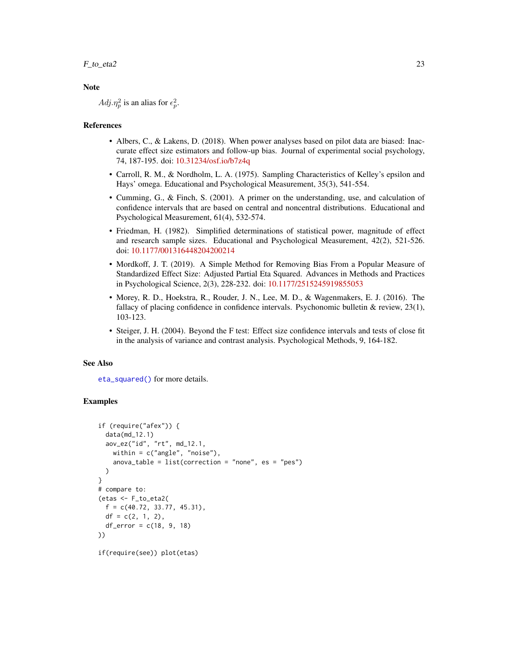## <span id="page-22-0"></span>**Note**

 $Adj.\eta_p^2$  is an alias for  $\epsilon_p^2$ .

#### References

- Albers, C., & Lakens, D. (2018). When power analyses based on pilot data are biased: Inaccurate effect size estimators and follow-up bias. Journal of experimental social psychology, 74, 187-195. doi: [10.31234/osf.io/b7z4q](https://doi.org/10.31234/osf.io/b7z4q)
- Carroll, R. M., & Nordholm, L. A. (1975). Sampling Characteristics of Kelley's epsilon and Hays' omega. Educational and Psychological Measurement, 35(3), 541-554.
- Cumming, G., & Finch, S. (2001). A primer on the understanding, use, and calculation of confidence intervals that are based on central and noncentral distributions. Educational and Psychological Measurement, 61(4), 532-574.
- Friedman, H. (1982). Simplified determinations of statistical power, magnitude of effect and research sample sizes. Educational and Psychological Measurement, 42(2), 521-526. doi: [10.1177/001316448204200214](https://doi.org/10.1177/001316448204200214)
- Mordkoff, J. T. (2019). A Simple Method for Removing Bias From a Popular Measure of Standardized Effect Size: Adjusted Partial Eta Squared. Advances in Methods and Practices in Psychological Science, 2(3), 228-232. doi: [10.1177/2515245919855053](https://doi.org/10.1177/2515245919855053)
- Morey, R. D., Hoekstra, R., Rouder, J. N., Lee, M. D., & Wagenmakers, E. J. (2016). The fallacy of placing confidence in confidence intervals. Psychonomic bulletin & review, 23(1), 103-123.
- Steiger, J. H. (2004). Beyond the F test: Effect size confidence intervals and tests of close fit in the analysis of variance and contrast analysis. Psychological Methods, 9, 164-182.

#### See Also

[eta\\_squared\(\)](#page-14-1) for more details.

```
if (require("afex")) {
 data(md_12.1)
 aov_ez("id", "rt", md_12.1,
   within = c("angle", "noise"),anova_table = list(correction = "none", es = "pes"))
}
# compare to:
(etas <- F_to_eta2(
 f = c(40.72, 33.77, 45.31),df = c(2, 1, 2),df_error = c(18, 9, 18)))
if(require(see)) plot(etas)
```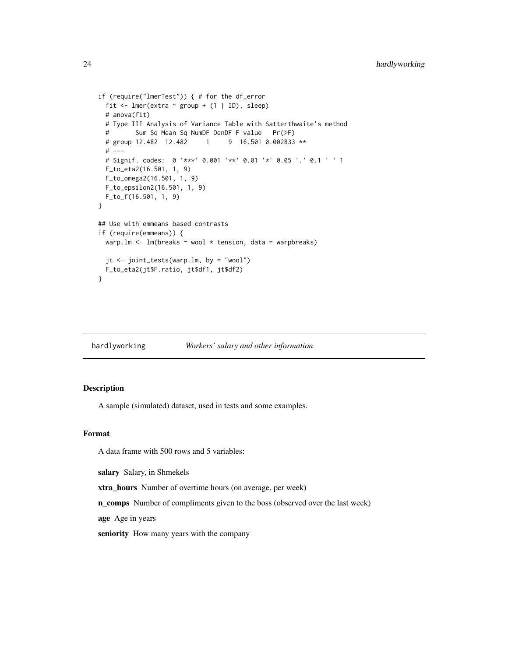```
if (require("lmerTest")) { # for the df_error
 fit \le lmer(extra \sim group + (1 | ID), sleep)
 # anova(fit)
 # Type III Analysis of Variance Table with Satterthwaite's method
 # Sum Sq Mean Sq NumDF DenDF F value Pr(>F)
 # group 12.482 12.482 1 9 16.501 0.002833 **
 # ---
 # Signif. codes: 0 '***' 0.001 '**' 0.01 '*' 0.05 '.' 0.1 ' ' 1
 F_to_eta2(16.501, 1, 9)
 F_to_omega2(16.501, 1, 9)
 F_to_epsilon2(16.501, 1, 9)
 F_to_f(16.501, 1, 9)
}
## Use with emmeans based contrasts
if (require(emmeans)) {
 warp.lm <- lm(breaks ~ wool * tension, data = warpbreaks)
 jt <- joint_tests(warp.lm, by = "wool")
 F_to_eta2(jt$F.ratio, jt$df1, jt$df2)
}
```
hardlyworking *Workers' salary and other information*

## Description

A sample (simulated) dataset, used in tests and some examples.

## Format

A data frame with 500 rows and 5 variables:

salary Salary, in Shmekels

xtra\_hours Number of overtime hours (on average, per week)

n\_comps Number of compliments given to the boss (observed over the last week)

age Age in years

seniority How many years with the company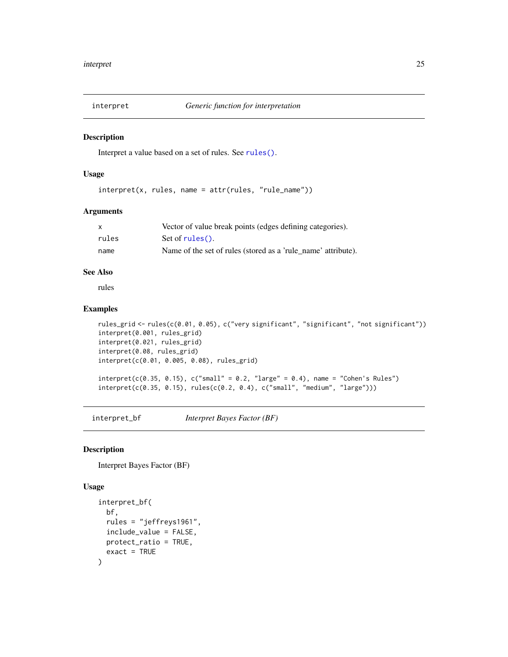<span id="page-24-1"></span><span id="page-24-0"></span>

#### Description

Interpret a value based on a set of rules. See [rules\(\)](#page-45-1).

## Usage

```
interpret(x, rules, name = attr(rules, "rule_name"))
```
#### Arguments

| x     | Vector of value break points (edges defining categories).     |
|-------|---------------------------------------------------------------|
| rules | Set of $rules()$ .                                            |
| name  | Name of the set of rules (stored as a 'rule name' attribute). |

#### See Also

rules

#### Examples

```
rules_grid <- rules(c(0.01, 0.05), c("very significant", "significant", "not significant"))
interpret(0.001, rules_grid)
interpret(0.021, rules_grid)
interpret(0.08, rules_grid)
interpret(c(0.01, 0.005, 0.08), rules_grid)
interpret(c(0.35, 0.15), c("small" = 0.2, "large" = 0.4), name = "Cohen's Rules")
```

```
interpret(c(0.35, 0.15), rules(c(0.2, 0.4), c("small", "medium", "large")))
```
interpret\_bf *Interpret Bayes Factor (BF)*

#### Description

Interpret Bayes Factor (BF)

#### Usage

```
interpret_bf(
 bf,
 rules = "jeffreys1961",
 include_value = FALSE,
 protect_ratio = TRUE,
 exact = TRUE)
```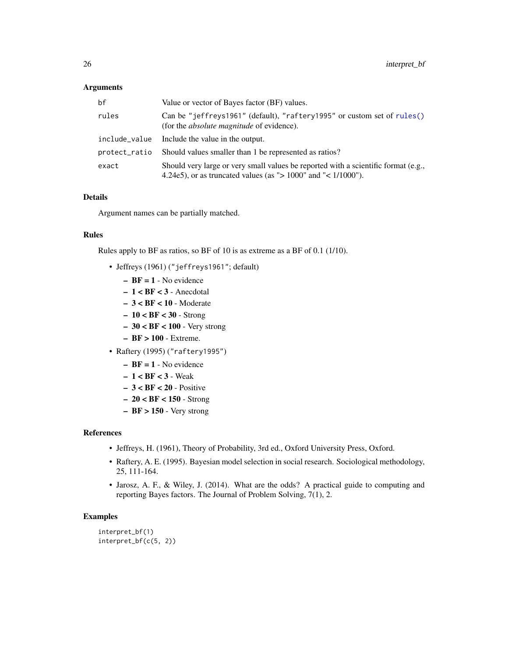## Arguments

| bf            | Value or vector of Bayes factor (BF) values.                                                                                                            |
|---------------|---------------------------------------------------------------------------------------------------------------------------------------------------------|
| rules         | Can be "jeffreys1961" (default), "raftery1995" or custom set of rules()<br>(for the <i>absolute magnitude</i> of evidence).                             |
| include_value | Include the value in the output.                                                                                                                        |
| protect_ratio | Should values smaller than 1 be represented as ratios?                                                                                                  |
| exact         | Should very large or very small values be reported with a scientific format (e.g.,<br>4.24e5), or as truncated values (as " $> 1000$ " and "< 1/1000"). |

## Details

Argument names can be partially matched.

## Rules

Rules apply to BF as ratios, so BF of 10 is as extreme as a BF of 0.1 (1/10).

- Jeffreys (1961) ("jeffreys1961"; default)
	- $-BF = 1 No$  evidence
	- $-1 < BF < 3$  Anecdotal
	- 3 < BF < 10 Moderate
	- $10 < BF < 30$  Strong
	- $-30 < BF < 100$  Very strong
	- BF > 100 Extreme.
- Raftery (1995) ("raftery1995")
	- $-BF = 1 No$  evidence
	- $1 < BF < 3$  Weak
	- $-3 < BF < 20$  Positive
	- 20 < BF < 150 Strong
	- $-$  BF  $> 150$  Very strong

## References

- Jeffreys, H. (1961), Theory of Probability, 3rd ed., Oxford University Press, Oxford.
- Raftery, A. E. (1995). Bayesian model selection in social research. Sociological methodology, 25, 111-164.
- Jarosz, A. F., & Wiley, J. (2014). What are the odds? A practical guide to computing and reporting Bayes factors. The Journal of Problem Solving, 7(1), 2.

```
interpret_bf(1)
interpret_bf(c(5, 2))
```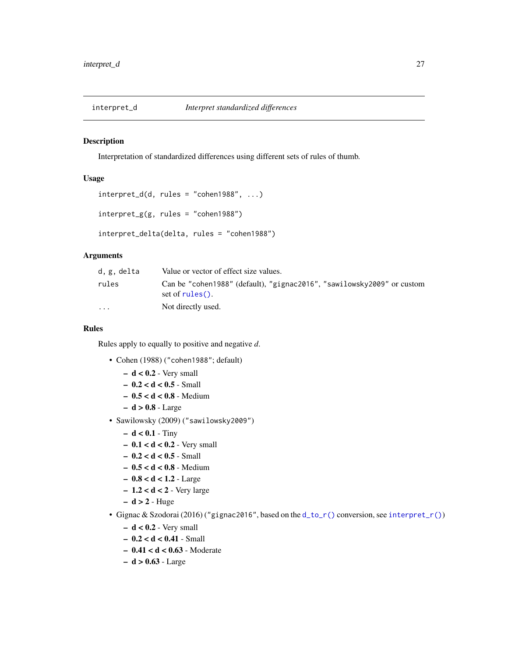<span id="page-26-1"></span><span id="page-26-0"></span>

## Description

Interpretation of standardized differences using different sets of rules of thumb.

## Usage

```
interpret_d(d, rules = "cohen1988", ...)
```

```
interpret_g(g, rules = "cohen1988")
```
interpret\_delta(delta, rules = "cohen1988")

## Arguments

| d.g.delta | Value or vector of effect size values.                                                    |  |
|-----------|-------------------------------------------------------------------------------------------|--|
| rules     | Can be "cohen1988" (default), "gignac2016", "sawilowsky2009" or custom<br>set of rules(). |  |
| $\cdots$  | Not directly used.                                                                        |  |

## Rules

Rules apply to equally to positive and negative *d*.

- Cohen (1988) ("cohen1988"; default)
	- $d < 0.2$  Very small
	- 0.2 < d < 0.5 Small
	- 0.5 < d < 0.8 Medium
	- $d > 0.8$  Large
- Sawilowsky (2009) ("sawilowsky2009")
	- $d < 0.1 -$  Tiny
	- $0.1 < d < 0.2$  Very small
	- 0.2 < d < 0.5 Small
	- 0.5 < d < 0.8 Medium
	- $0.8 < d < 1.2$  Large
	- $1.2 < d < 2$  Very large
	- $d > 2 Huge$
- Gignac & Szodorai (2016) ("gignac2016", based on the [d\\_to\\_r\(\)](#page-9-1) conversion, see [interpret\\_r\(\)](#page-35-1))
	- $d < 0.2$  Very small
	- 0.2 < d < 0.41 Small
	- 0.41 < d < 0.63 Moderate
	- $d > 0.63 Large$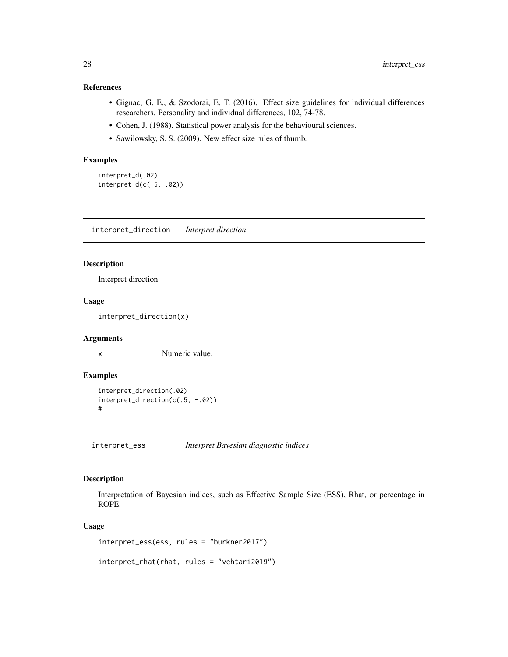## <span id="page-27-0"></span>References

- Gignac, G. E., & Szodorai, E. T. (2016). Effect size guidelines for individual differences researchers. Personality and individual differences, 102, 74-78.
- Cohen, J. (1988). Statistical power analysis for the behavioural sciences.
- Sawilowsky, S. S. (2009). New effect size rules of thumb.

## Examples

```
interpret_d(.02)
interpret_d(c(.5, .02))
```
interpret\_direction *Interpret direction*

#### Description

Interpret direction

## Usage

interpret\_direction(x)

#### Arguments

x Numeric value.

## Examples

```
interpret_direction(.02)
interpret_direction(c(.5, -.02))
#
```
interpret\_ess *Interpret Bayesian diagnostic indices*

## Description

Interpretation of Bayesian indices, such as Effective Sample Size (ESS), Rhat, or percentage in ROPE.

## Usage

interpret\_ess(ess, rules = "burkner2017")

```
interpret_rhat(rhat, rules = "vehtari2019")
```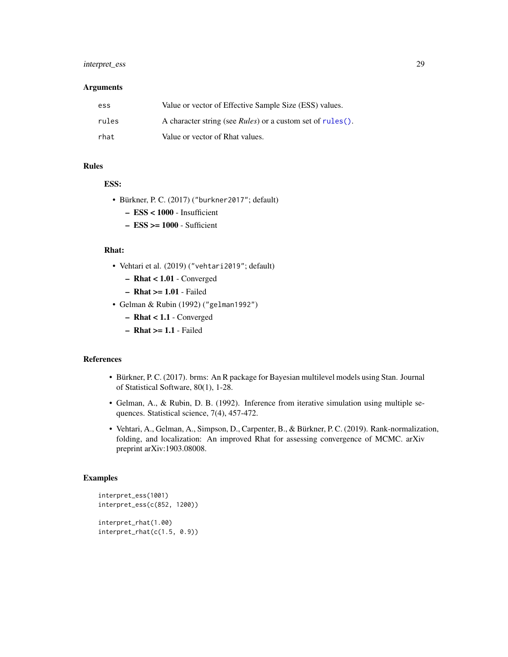## <span id="page-28-0"></span>interpret\_ess 29

## Arguments

| ess   | Value or vector of Effective Sample Size (ESS) values.              |
|-------|---------------------------------------------------------------------|
| rules | A character string (see <i>Rules</i> ) or a custom set of rules (). |
| rhat  | Value or vector of Rhat values.                                     |

## Rules

## ESS:

- Bürkner, P. C. (2017) ("burkner2017"; default)
	- ESS < 1000 Insufficient
	- $-$  ESS  $\ge$  = 1000 Sufficient

#### Rhat:

- Vehtari et al. (2019) ("vehtari2019"; default)
	- Rhat < 1.01 Converged
	- $-$  Rhat  $>= 1.01$  Failed
- Gelman & Rubin (1992) ("gelman1992")
	- Rhat < 1.1 Converged
	- $-$  **Rhat**  $>= 1.1 -$  Failed

## References

- Bürkner, P. C. (2017). brms: An R package for Bayesian multilevel models using Stan. Journal of Statistical Software, 80(1), 1-28.
- Gelman, A., & Rubin, D. B. (1992). Inference from iterative simulation using multiple sequences. Statistical science, 7(4), 457-472.
- Vehtari, A., Gelman, A., Simpson, D., Carpenter, B., & Bürkner, P. C. (2019). Rank-normalization, folding, and localization: An improved Rhat for assessing convergence of MCMC. arXiv preprint arXiv:1903.08008.

```
interpret_ess(1001)
interpret_ess(c(852, 1200))
interpret_rhat(1.00)
interpret_rhat(c(1.5, 0.9))
```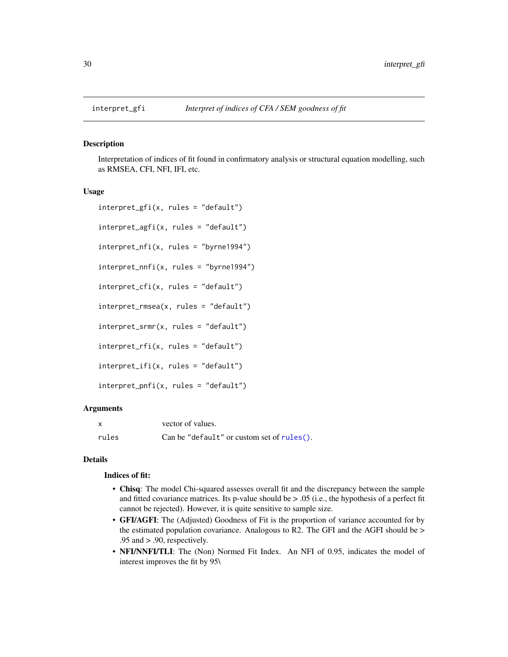<span id="page-29-0"></span>

#### Description

Interpretation of indices of fit found in confirmatory analysis or structural equation modelling, such as RMSEA, CFI, NFI, IFI, etc.

#### Usage

```
interpret_gfi(x, rules = "default")
interpret_agfi(x, rules = "default")
interpret_nfi(x, rules = "byrne1994")
interpret\_nnfi(x, rules = "byrne1994")interpret_cfi(x, rules = "default")
interpret_rmsea(x, rules = "default")
interpret_srmr(x, rules = "default")
interpret_rfi(x, rules = "default")
interpret_ifi(x, rules = "default")
interpret_pnfi(x, rules = "default")
```
#### Arguments

| $\boldsymbol{\mathsf{x}}$ | vector of values.                          |
|---------------------------|--------------------------------------------|
| rules                     | Can be "default" or custom set of rules(). |

#### Details

#### Indices of fit:

- Chisq: The model Chi-squared assesses overall fit and the discrepancy between the sample and fitted covariance matrices. Its p-value should be  $> 0.05$  (i.e., the hypothesis of a perfect fit cannot be rejected). However, it is quite sensitive to sample size.
- GFI/AGFI: The (Adjusted) Goodness of Fit is the proportion of variance accounted for by the estimated population covariance. Analogous to R2. The GFI and the AGFI should be  $>$ .95 and > .90, respectively.
- NFI/NNFI/TLI: The (Non) Normed Fit Index. An NFI of 0.95, indicates the model of interest improves the fit by 95\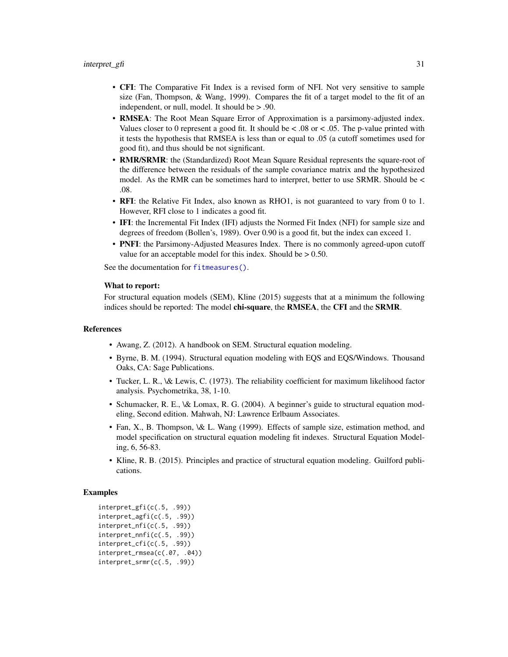- <span id="page-30-0"></span>• CFI: The Comparative Fit Index is a revised form of NFI. Not very sensitive to sample size (Fan, Thompson, & Wang, 1999). Compares the fit of a target model to the fit of an independent, or null, model. It should be > .90.
- RMSEA: The Root Mean Square Error of Approximation is a parsimony-adjusted index. Values closer to 0 represent a good fit. It should be  $\lt$  0.08 or  $\lt$  0.05. The p-value printed with it tests the hypothesis that RMSEA is less than or equal to .05 (a cutoff sometimes used for good fit), and thus should be not significant.
- RMR/SRMR: the (Standardized) Root Mean Square Residual represents the square-root of the difference between the residuals of the sample covariance matrix and the hypothesized model. As the RMR can be sometimes hard to interpret, better to use SRMR. Should be < .08.
- RFI: the Relative Fit Index, also known as RHO1, is not guaranteed to vary from 0 to 1. However, RFI close to 1 indicates a good fit.
- IFI: the Incremental Fit Index (IFI) adjusts the Normed Fit Index (NFI) for sample size and degrees of freedom (Bollen's, 1989). Over 0.90 is a good fit, but the index can exceed 1.
- PNFI: the Parsimony-Adjusted Measures Index. There is no commonly agreed-upon cutoff value for an acceptable model for this index. Should be > 0.50.

See the documentation for [fitmeasures\(\)](#page-0-0).

#### What to report:

For structural equation models (SEM), Kline (2015) suggests that at a minimum the following indices should be reported: The model chi-square, the RMSEA, the CFI and the SRMR.

## References

- Awang, Z. (2012). A handbook on SEM. Structural equation modeling.
- Byrne, B. M. (1994). Structural equation modeling with EQS and EQS/Windows. Thousand Oaks, CA: Sage Publications.
- Tucker, L. R., \& Lewis, C. (1973). The reliability coefficient for maximum likelihood factor analysis. Psychometrika, 38, 1-10.
- Schumacker, R. E., \& Lomax, R. G. (2004). A beginner's guide to structural equation modeling, Second edition. Mahwah, NJ: Lawrence Erlbaum Associates.
- Fan, X., B. Thompson, \& L. Wang (1999). Effects of sample size, estimation method, and model specification on structural equation modeling fit indexes. Structural Equation Modeling, 6, 56-83.
- Kline, R. B. (2015). Principles and practice of structural equation modeling. Guilford publications.

```
interpret_gfi(c(.5, .99))
interpret_agfi(c(.5, .99))
interpret_nfi(c(.5, .99))
interpret_nnfi(c(.5, .99))
interpret_cfi(c(.5, .99))
interpret_rmsea(c(.07, .04))
interpret_srmr(c(.5, .99))
```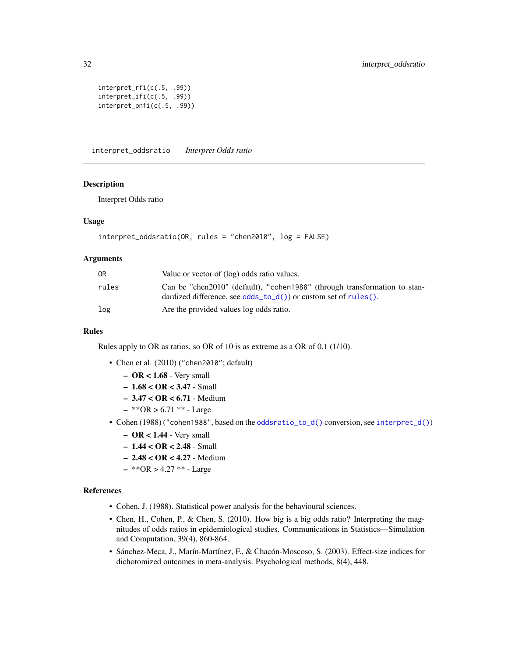```
interpret_rfi(c(.5, .99))
interpret_ifi(c(.5, .99))
interpret_pnfi(c(.5, .99))
```
interpret\_oddsratio *Interpret Odds ratio*

## Description

Interpret Odds ratio

#### Usage

```
interpret_oddsratio(OR, rules = "chen2010", log = FALSE)
```
#### Arguments

| 0R    | Value or vector of (log) odds ratio values.                                                                                                   |
|-------|-----------------------------------------------------------------------------------------------------------------------------------------------|
| rules | Can be "chen2010" (default), "cohen1988" (through transformation to stan-<br>dardized difference, see $odds_to_d()$ or custom set of rules(). |
| log   | Are the provided values log odds ratio.                                                                                                       |

#### Rules

Rules apply to OR as ratios, so OR of 10 is as extreme as a OR of 0.1 (1/10).

- Chen et al. (2010) ("chen2010"; default)
	- $-$  OR  $< 1.68$  Very small
	- 1.68 < OR < 3.47 Small
	- $-3.47 <$  OR  $< 6.71$  Medium
	- $-$  \*\*OR > 6.71 \*\* Large
- Cohen (1988) ("cohen1988", based on the [oddsratio\\_to\\_d\(\)](#page-9-2) conversion, see [interpret\\_d\(\)](#page-26-1))
	- $-$  OR  $< 1.44$  Very small
	- $-1.44 <$  OR  $<$  2.48 Small
	- $-2.48 <$  OR  $< 4.27$  Medium
	- $-$  \*\*OR > 4.27 \*\* Large

#### References

- Cohen, J. (1988). Statistical power analysis for the behavioural sciences.
- Chen, H., Cohen, P., & Chen, S. (2010). How big is a big odds ratio? Interpreting the magnitudes of odds ratios in epidemiological studies. Communications in Statistics—Simulation and Computation, 39(4), 860-864.
- Sánchez-Meca, J., Marín-Martínez, F., & Chacón-Moscoso, S. (2003). Effect-size indices for dichotomized outcomes in meta-analysis. Psychological methods, 8(4), 448.

<span id="page-31-0"></span>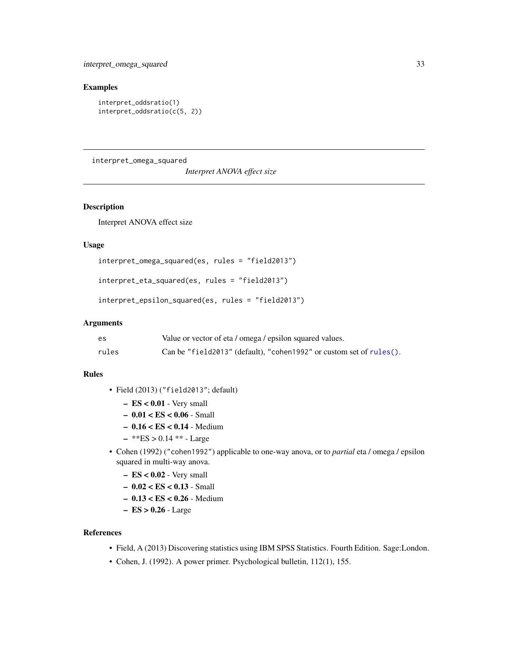## <span id="page-32-0"></span>Examples

```
interpret_oddsratio(1)
interpret_oddsratio(c(5, 2))
```
interpret\_omega\_squared

*Interpret ANOVA effect size*

## Description

Interpret ANOVA effect size

#### Usage

interpret\_omega\_squared(es, rules = "field2013")

interpret\_eta\_squared(es, rules = "field2013")

interpret\_epsilon\_squared(es, rules = "field2013")

## Arguments

| es    | Value or vector of eta / omega / epsilon squared values.                  |
|-------|---------------------------------------------------------------------------|
| rules | Can be "field 2013" (default), "cohen 1992" or custom set of rules $()$ . |

## Rules

- Field (2013) ("field2013"; default)
	- $-$  ES  $< 0.01$  Very small
	- $-0.01 < ES < 0.06$  Small
	- 0.16 < ES < 0.14 Medium
	- $-$  \*\*ES > 0.14 \*\* Large
- Cohen (1992) ("cohen1992") applicable to one-way anova, or to *partial* eta / omega / epsilon squared in multi-way anova.
	- $-$  ES  $< 0.02$  Very small
	- 0.02 < ES < 0.13 Small
	- $-0.13 < ES < 0.26$  Medium
	- $ES > 0.26$  Large

#### References

- Field, A (2013) Discovering statistics using IBM SPSS Statistics. Fourth Edition. Sage:London.
- Cohen, J. (1992). A power primer. Psychological bulletin, 112(1), 155.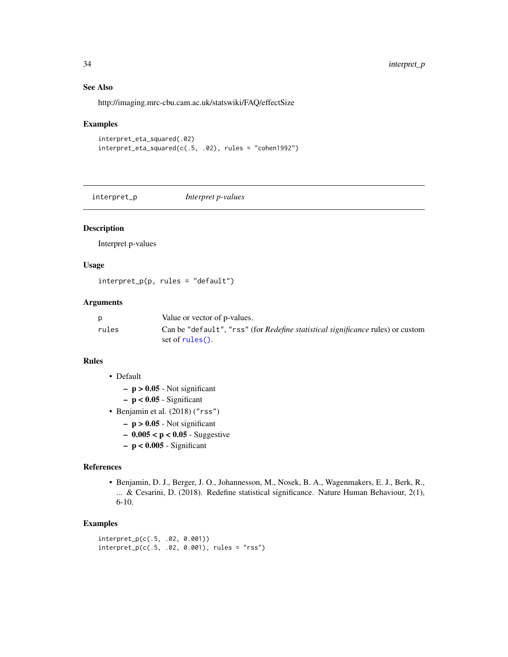## See Also

http://imaging.mrc-cbu.cam.ac.uk/statswiki/FAQ/effectSize

#### Examples

```
interpret_eta_squared(.02)
interpret_eta_squared(c(.5, .02), rules = "cohen1992")
```
interpret\_p *Interpret p-values*

## Description

Interpret p-values

## Usage

interpret\_p(p, rules = "default")

## Arguments

| D     | Value or vector of p-values.                                                                                 |
|-------|--------------------------------------------------------------------------------------------------------------|
| rules | Can be "default", "rss" (for <i>Redefine statistical significance</i> rules) or custom<br>set of $rules()$ . |

## Rules

- Default
	- $p > 0.05$  Not significant
	- $p < 0.05$  Significant
- Benjamin et al. (2018) ("rss")
	- $p > 0.05$  Not significant
	- $-0.005 < p < 0.05$  Suggestive
	- $p < 0.005$  Significant

## References

• Benjamin, D. J., Berger, J. O., Johannesson, M., Nosek, B. A., Wagenmakers, E. J., Berk, R., ... & Cesarini, D. (2018). Redefine statistical significance. Nature Human Behaviour, 2(1), 6-10.

```
interpret_p(c(.5, .02, 0.001))
interpret_p(c(.5, .02, 0.001), rules = "rss")
```
<span id="page-33-0"></span>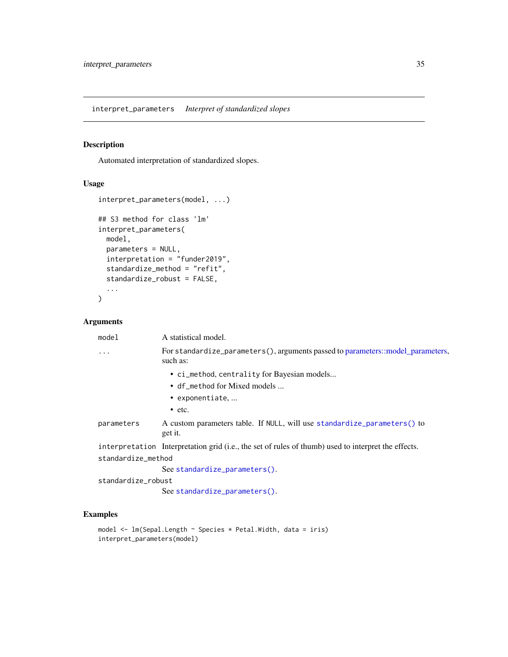<span id="page-34-0"></span>interpret\_parameters *Interpret of standardized slopes*

## Description

Automated interpretation of standardized slopes.

## Usage

```
interpret_parameters(model, ...)
## S3 method for class 'lm'
interpret_parameters(
 model,
 parameters = NULL,
  interpretation = "funder2019",
  standardize_method = "refit",
  standardize_robust = FALSE,
  ...
)
```
## Arguments

| model              | A statistical model.                                                                                |  |
|--------------------|-----------------------------------------------------------------------------------------------------|--|
| $\cdots$           | For standardize_parameters(), arguments passed to parameters::model_parameters,<br>such as:         |  |
|                    | • ci_method, centrality for Bayesian models                                                         |  |
|                    | • df_method for Mixed models                                                                        |  |
|                    | • exponentiate,                                                                                     |  |
|                    | $\bullet$ etc.                                                                                      |  |
| parameters         | A custom parameters table. If NULL, will use standardize_parameters() to<br>get it.                 |  |
|                    | interpretation Interpretation grid (i.e., the set of rules of thumb) used to interpret the effects. |  |
| standardize method |                                                                                                     |  |
|                    | See standardize_parameters().                                                                       |  |
| standardize robust |                                                                                                     |  |
|                    | See standardize_parameters().                                                                       |  |

```
model <- lm(Sepal.Length ~ Species * Petal.Width, data = iris)
interpret_parameters(model)
```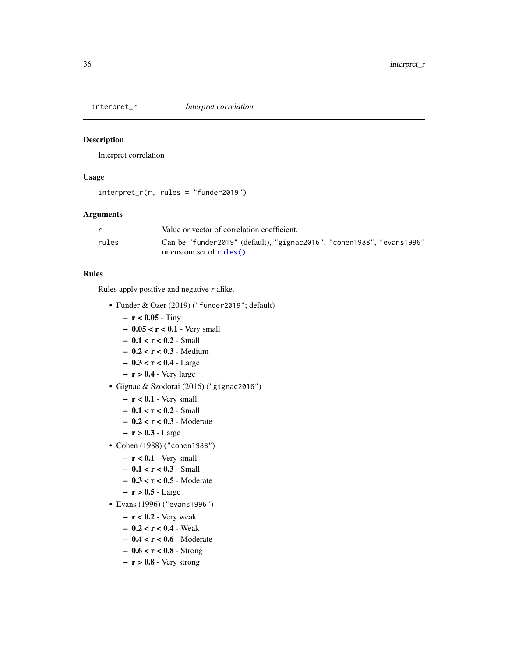<span id="page-35-1"></span><span id="page-35-0"></span>

#### Description

Interpret correlation

## Usage

interpret\_r(r, rules = "funder2019")

## Arguments

|       | Value or vector of correlation coefficient.                           |  |  |
|-------|-----------------------------------------------------------------------|--|--|
| rules | Can be "funder2019" (default), "gignac2016", "cohen1988", "evans1996" |  |  |
|       | or custom set of $rules()$ .                                          |  |  |

## Rules

Rules apply positive and negative *r* alike.

- Funder & Ozer (2019) ("funder2019"; default)
	- $r < 0.05 -$  Tiny
	- $0.05 < r < 0.1$  Very small
	- $-0.1 < r < 0.2$  Small
	- $-0.2 < r < 0.3$  Medium
	- $-0.3 < r < 0.4$  Large
	- $r > 0.4$  Very large
- Gignac & Szodorai (2016) ("gignac2016")
	- $r < 0.1$  Very small
	- $0.1 < r < 0.2$  Small
	- $0.2 < r < 0.3$  Moderate
	- $r > 0.3$  Large
- Cohen (1988) ("cohen1988")
	- $r < 0.1$  Very small
	- $0.1 < r < 0.3$  Small
	- $0.3 < r < 0.5$  Moderate
	- $r > 0.5$  Large
- Evans (1996) ("evans1996")
	- $r < 0.2$  Very weak
	- $-0.2 < r < 0.4$  Weak
	- $0.4 < r < 0.6$  Moderate
	- $0.6 < r < 0.8$  Strong
	- $r > 0.8$  Very strong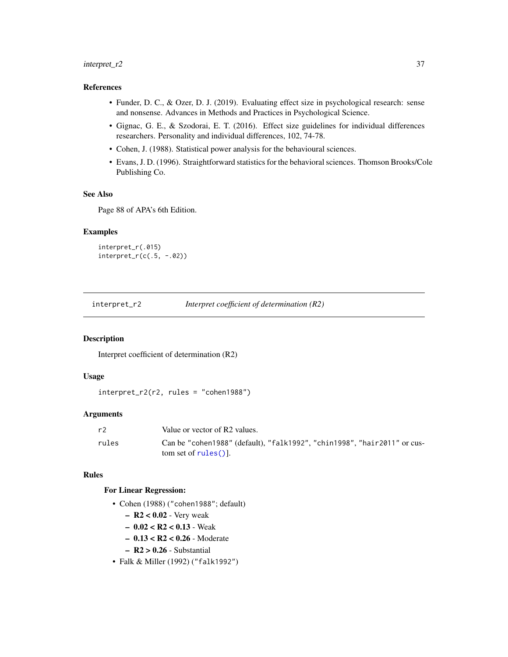## <span id="page-36-0"></span>interpret\_r2 37

## References

- Funder, D. C., & Ozer, D. J. (2019). Evaluating effect size in psychological research: sense and nonsense. Advances in Methods and Practices in Psychological Science.
- Gignac, G. E., & Szodorai, E. T. (2016). Effect size guidelines for individual differences researchers. Personality and individual differences, 102, 74-78.
- Cohen, J. (1988). Statistical power analysis for the behavioural sciences.
- Evans, J. D. (1996). Straightforward statistics for the behavioral sciences. Thomson Brooks/Cole Publishing Co.

#### See Also

Page 88 of APA's 6th Edition.

## Examples

interpret\_r(.015)  $interpret_r(c(.5, -.02))$ 

interpret\_r2 *Interpret coefficient of determination (R2)*

## Description

Interpret coefficient of determination (R2)

#### Usage

interpret\_r2(r2, rules = "cohen1988")

#### Arguments

| r2    | Value or vector of R2 values.                                                                      |
|-------|----------------------------------------------------------------------------------------------------|
| rules | Can be "cohen1988" (default), "falk1992", "chin1998", "hair2011" or cus-<br>tom set of $rules()$ . |

#### Rules

## For Linear Regression:

- Cohen (1988) ("cohen1988"; default)
	- R2 < 0.02 Very weak
	- 0.02 < R2 < 0.13 Weak
	- 0.13 < R2 < 0.26 Moderate
	- $-$  R<sub>2</sub>  $> 0.26$  Substantial
- Falk & Miller (1992) ("falk1992")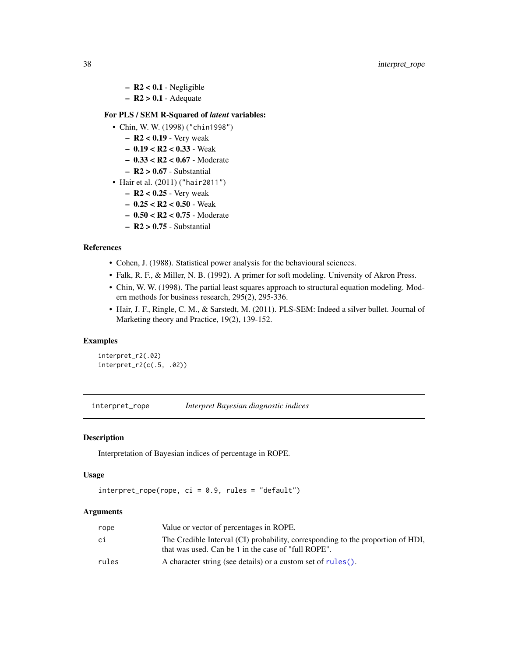- <span id="page-37-0"></span> $-$  R<sub>2</sub> < 0.1 - Negligible
- $-$  R<sub>2</sub>  $>$  0.1 Adequate

## For PLS / SEM R-Squared of *latent* variables:

- Chin, W. W. (1998) ("chin1998")
	- $-$  R<sub>2</sub> < 0.19 Very weak
	- $-0.19 < R2 < 0.33$  Weak
	- $-0.33 < R2 < 0.67$  Moderate
	- $-$  R2  $> 0.67$  Substantial
- Hair et al. (2011) ("hair2011")
	- $-$  R<sub>2</sub> < 0.25 Very weak
	- $-0.25 <$  R2  $<$  0.50 Weak
	- 0.50 < R2 < 0.75 Moderate
	- $-$  R<sub>2</sub>  $>$  0.75 Substantial

#### References

- Cohen, J. (1988). Statistical power analysis for the behavioural sciences.
- Falk, R. F., & Miller, N. B. (1992). A primer for soft modeling. University of Akron Press.
- Chin, W. W. (1998). The partial least squares approach to structural equation modeling. Modern methods for business research, 295(2), 295-336.
- Hair, J. F., Ringle, C. M., & Sarstedt, M. (2011). PLS-SEM: Indeed a silver bullet. Journal of Marketing theory and Practice, 19(2), 139-152.

#### Examples

```
interpret_r2(.02)
interpret_r2(c(.5, .02))
```
interpret\_rope *Interpret Bayesian diagnostic indices*

## Description

Interpretation of Bayesian indices of percentage in ROPE.

#### Usage

```
interpret\_rope(rope, ci = 0.9, rules = "default")
```
## Arguments

| rope  | Value or vector of percentages in ROPE.                                                                                                |
|-------|----------------------------------------------------------------------------------------------------------------------------------------|
| сi    | The Credible Interval (CI) probability, corresponding to the proportion of HDI,<br>that was used. Can be 1 in the case of "full ROPE". |
| rules | A character string (see details) or a custom set of rules ().                                                                          |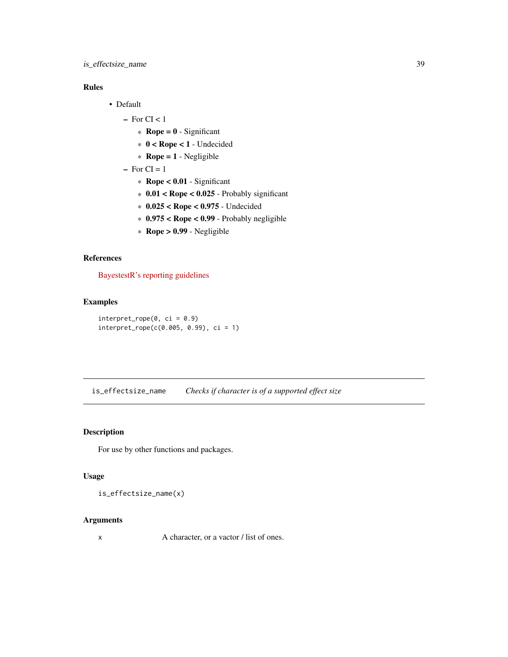## <span id="page-38-0"></span>Rules

- Default
	- $-$  For CI  $< 1$ 
		- $*$  **Rope = 0** Significant
		- \* 0 < Rope < 1 Undecided
		- $*$  **Rope = 1** Negligible
	- $-$  For CI = 1
		- \* Rope < 0.01 Significant
		- \* 0.01 < Rope < 0.025 Probably significant
		- \* 0.025 < Rope < 0.975 Undecided
		- \* 0.975 < Rope < 0.99 Probably negligible
		- \* Rope > 0.99 Negligible

#### References

[BayestestR's reporting guidelines](https://easystats.github.io/bayestestR/articles/guidelines.html)

## Examples

 $interpret\_rope(\emptyset, ci = \emptyset.9)$  $interpret\_rope(c(0.005, 0.99), ci = 1)$ 

is\_effectsize\_name *Checks if character is of a supported effect size*

## Description

For use by other functions and packages.

## Usage

is\_effectsize\_name(x)

## Arguments

x A character, or a vactor / list of ones.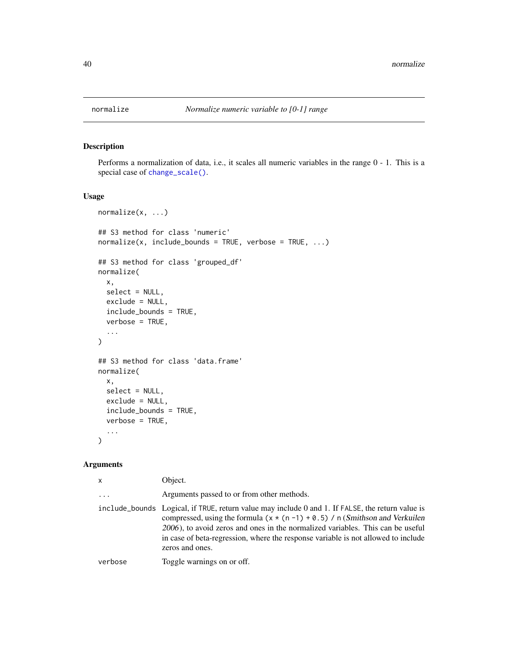## Description

Performs a normalization of data, i.e., it scales all numeric variables in the range 0 - 1. This is a special case of [change\\_scale\(\)](#page-3-1).

## Usage

```
normalize(x, ...)
## S3 method for class 'numeric'
normalize(x, include_bounds = TRUE, verbose = TRUE, ...)## S3 method for class 'grouped_df'
normalize(
  x,
  select = NULL,
  exclude = NULL,
  include_bounds = TRUE,
  verbose = TRUE,
  ...
)
## S3 method for class 'data.frame'
normalize(
 x,
  select = NULL,
 exclude = NULL,
  include_bounds = TRUE,
  verbose = TRUE,
  ...
\mathcal{L}
```
## Arguments

| X                       | Object.                                                                                                                                                                                                                                                                                                                                                                         |
|-------------------------|---------------------------------------------------------------------------------------------------------------------------------------------------------------------------------------------------------------------------------------------------------------------------------------------------------------------------------------------------------------------------------|
| $\cdot$ $\cdot$ $\cdot$ | Arguments passed to or from other methods.                                                                                                                                                                                                                                                                                                                                      |
|                         | include_bounds Logical, if TRUE, return value may include 0 and 1. If FALSE, the return value is<br>compressed, using the formula $(x \star (n-1) + 0.5)$ / n (Smithson and Verkuilen<br>2006), to avoid zeros and ones in the normalized variables. This can be useful<br>in case of beta-regression, where the response variable is not allowed to include<br>zeros and ones. |
| verbose                 | Toggle warnings on or off.                                                                                                                                                                                                                                                                                                                                                      |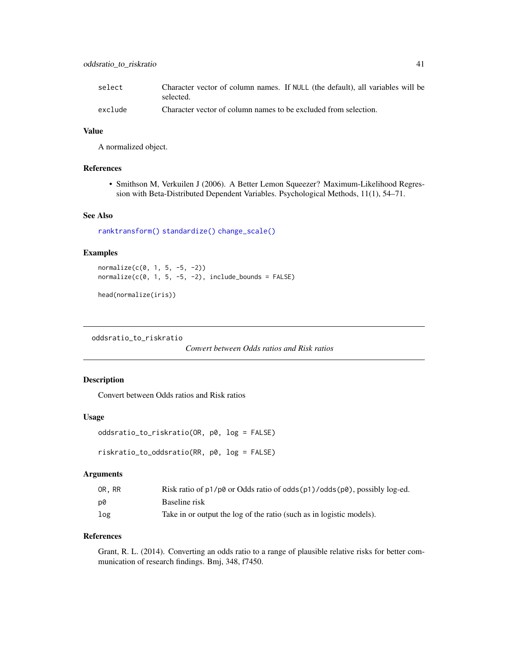## <span id="page-40-0"></span>oddsratio\_to\_riskratio 41

| select  | Character vector of column names. If NULL (the default), all variables will be |  |  |
|---------|--------------------------------------------------------------------------------|--|--|
|         | selected.                                                                      |  |  |
| exclude | Character vector of column names to be excluded from selection.                |  |  |

#### Value

A normalized object.

#### References

• Smithson M, Verkuilen J (2006). A Better Lemon Squeezer? Maximum-Likelihood Regression with Beta-Distributed Dependent Variables. Psychological Methods, 11(1), 54–71.

## See Also

[ranktransform\(\)](#page-44-1) [standardize\(\)](#page-47-1) [change\\_scale\(\)](#page-3-1)

## Examples

```
normalize(c(0, 1, 5, -5, -2))
normalize(c(0, 1, 5, -5, -2), include_bounds = FALSE)
```
head(normalize(iris))

```
oddsratio_to_riskratio
```

```
Convert between Odds ratios and Risk ratios
```
## Description

Convert between Odds ratios and Risk ratios

#### Usage

```
oddsratio_to_riskratio(OR, p0, log = FALSE)
```

```
riskratio_to_oddsratio(RR, p0, log = FALSE)
```
## Arguments

| OR.RR | Risk ratio of $p1/p0$ or Odds ratio of odds $(p1)/$ odds $(p0)$ , possibly log-ed. |
|-------|------------------------------------------------------------------------------------|
| D0    | Baseline risk                                                                      |
| log   | Take in or output the log of the ratio (such as in logistic models).               |

## References

Grant, R. L. (2014). Converting an odds ratio to a range of plausible relative risks for better communication of research findings. Bmj, 348, f7450.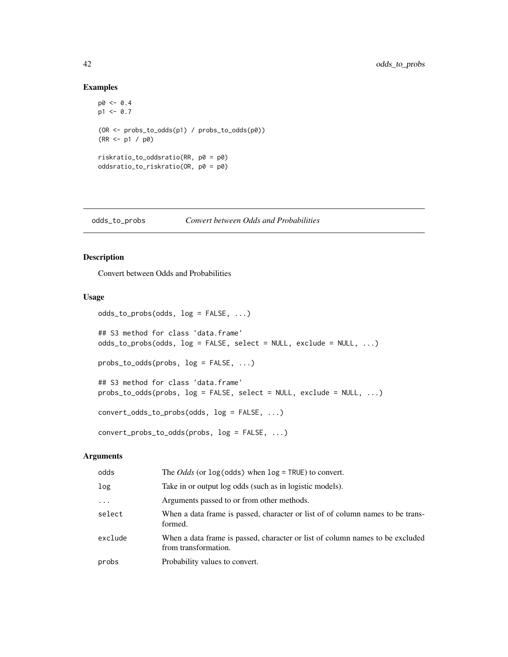#### Examples

```
p0 \le -0.4p1 < -0.7(OR <- probs_to_odds(p1) / probs_to_odds(p0))
(RR <- p1 / p0)
riskratio_to_oddsratio(RR, p0 = p0)
oddsratio_to_riskratio(OR, p0 = p0)
```
odds\_to\_probs *Convert between Odds and Probabilities*

#### Description

Convert between Odds and Probabilities

## Usage

```
odds_to_probs(odds, log = FALSE, ...)
## S3 method for class 'data.frame'
odds_to_probs(odds, log = FALSE, select = NULL, exclude = NULL, ...)
probs_to_odds(probs, log = FALSE, ...)
## S3 method for class 'data.frame'
probs_to_odds(probs, log = FALSE, select = NULL, exclude = NULL, ...)
convert_odds_to_probs(odds, log = FALSE, ...)
convert_probs_to_odds(probs, log = FALSE, ...)
```
## Arguments

| odds     | The <i>Odds</i> (or $log($ odds) when $log = TRUE$ ) to convert.                                      |
|----------|-------------------------------------------------------------------------------------------------------|
| log      | Take in or output log odds (such as in logistic models).                                              |
| $\cdots$ | Arguments passed to or from other methods.                                                            |
| select   | When a data frame is passed, character or list of of column names to be trans-<br>formed.             |
| exclude  | When a data frame is passed, character or list of column names to be excluded<br>from transformation. |
| probs    | Probability values to convert.                                                                        |

<span id="page-41-0"></span>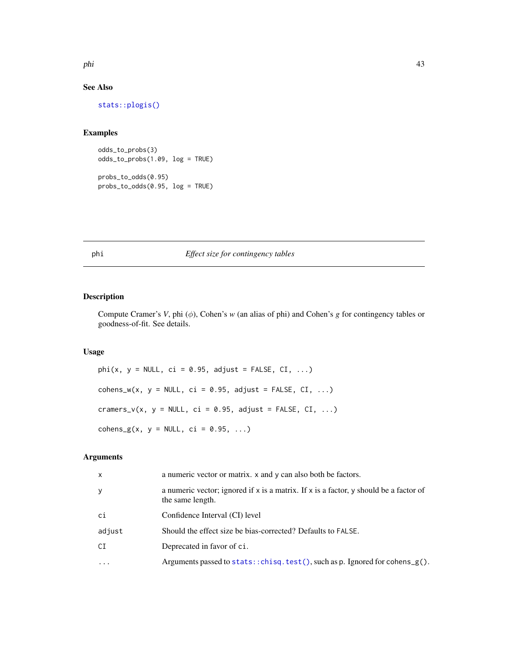<span id="page-42-0"></span>phi 43

## See Also

[stats::plogis\(\)](#page-0-0)

## Examples

odds\_to\_probs(3) odds\_to\_probs(1.09, log = TRUE) probs\_to\_odds(0.95) probs\_to\_odds(0.95, log = TRUE)

## phi *Effect size for contingency tables*

## <span id="page-42-1"></span>Description

Compute Cramer's *V*, phi (φ), Cohen's *w* (an alias of phi) and Cohen's *g* for contingency tables or goodness-of-fit. See details.

## Usage

 $phi(x, y = NULL, ci = 0.95, adjust = FALSE, CI, ...)$  $cohens_w(x, y = NULL, ci = 0.95, adjust = FALSE, CI, ...)$ cramers\_v(x,  $y = NULL$ , ci = 0.95, adjust = FALSE, CI, ...)  $cohens_g(x, y = NULL, ci = 0.95, ...)$ 

## Arguments

| x       | a numeric vector or matrix. x and y can also both be factors.                                                 |
|---------|---------------------------------------------------------------------------------------------------------------|
| у       | a numeric vector; ignored if $x$ is a matrix. If $x$ is a factor, y should be a factor of<br>the same length. |
| сi      | Confidence Interval (CI) level                                                                                |
| adjust  | Should the effect size be bias-corrected? Defaults to FALSE.                                                  |
| СI      | Deprecated in favor of ci.                                                                                    |
| $\cdot$ | Arguments passed to stats::chisq.test(), such as p. Ignored for cohens_g().                                   |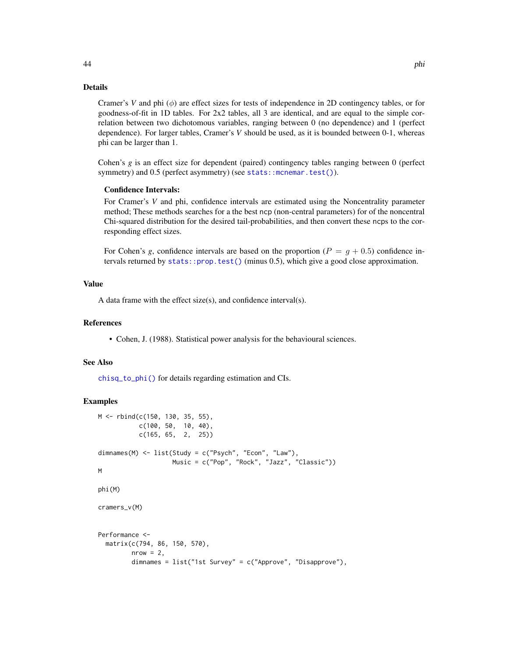#### Details

Cramer's *V* and phi (φ) are effect sizes for tests of independence in 2D contingency tables, or for goodness-of-fit in 1D tables. For 2x2 tables, all 3 are identical, and are equal to the simple correlation between two dichotomous variables, ranging between 0 (no dependence) and 1 (perfect dependence). For larger tables, Cramer's *V* should be used, as it is bounded between 0-1, whereas phi can be larger than 1.

Cohen's *g* is an effect size for dependent (paired) contingency tables ranging between 0 (perfect symmetry) and 0.5 (perfect asymmetry) (see [stats::mcnemar.test\(\)](#page-0-0)).

#### Confidence Intervals:

For Cramer's *V* and phi, confidence intervals are estimated using the Noncentrality parameter method; These methods searches for a the best ncp (non-central parameters) for of the noncentral Chi-squared distribution for the desired tail-probabilities, and then convert these ncps to the corresponding effect sizes.

For Cohen's *g*, confidence intervals are based on the proportion ( $P = g + 0.5$ ) confidence intervals returned by [stats::prop.test\(\)](#page-0-0) (minus 0.5), which give a good close approximation.

#### Value

A data frame with the effect size(s), and confidence interval(s).

#### References

• Cohen, J. (1988). Statistical power analysis for the behavioural sciences.

#### See Also

[chisq\\_to\\_phi\(\)](#page-4-1) for details regarding estimation and CIs.

```
M <- rbind(c(150, 130, 35, 55),
           c(100, 50, 10, 40),
           c(165, 65, 2, 25))
dimnames(M) <- list(Study = c("Psych", "Econ", "Law"),
                    Music = c("Pop", "Rock", "Jazz", "Classic"))
M
phi(M)
cramers_v(M)
Performance <-
  matrix(c(794, 86, 150, 570),
        nrow = 2,
        dimnames = list("1st Survey" = c("Approve", "Disapprove"),
```
<span id="page-43-0"></span>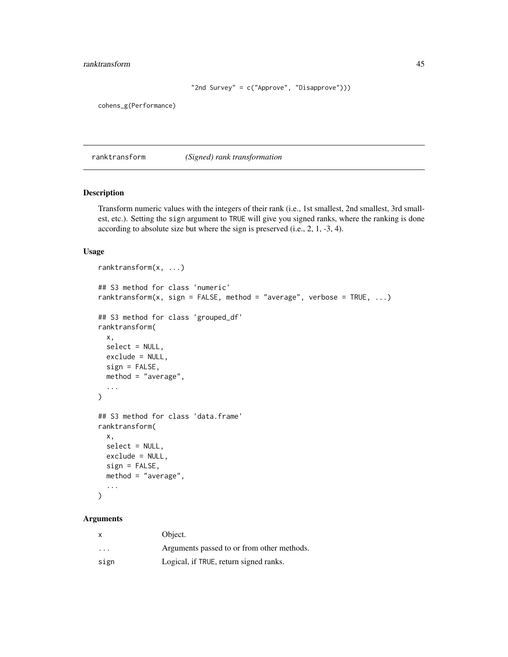## <span id="page-44-0"></span>ranktransform 45

```
"2nd Survey" = c("Approve", "Disapprove")))
```
cohens\_g(Performance)

<span id="page-44-1"></span>ranktransform *(Signed) rank transformation*

#### Description

Transform numeric values with the integers of their rank (i.e., 1st smallest, 2nd smallest, 3rd smallest, etc.). Setting the sign argument to TRUE will give you signed ranks, where the ranking is done according to absolute size but where the sign is preserved (i.e., 2, 1, -3, 4).

## Usage

```
ranktransform(x, ...)
## S3 method for class 'numeric'
ranktransform(x, sign = FALSE, method = "average", verbose = TRUE, \ldots)
## S3 method for class 'grouped_df'
ranktransform(
 x,
 select = NULL,
 exclude = NULL,
 sign = FALSE,method = "average",
  ...
\lambda## S3 method for class 'data.frame'
ranktransform(
 x,
  select = NULL,
 exclude = NULL,
 sign = FALSE,method = "average",
  ...
)
```
#### Arguments

| x                       | Object.                                    |
|-------------------------|--------------------------------------------|
| $\cdot$ $\cdot$ $\cdot$ | Arguments passed to or from other methods. |
| sign                    | Logical, if TRUE, return signed ranks.     |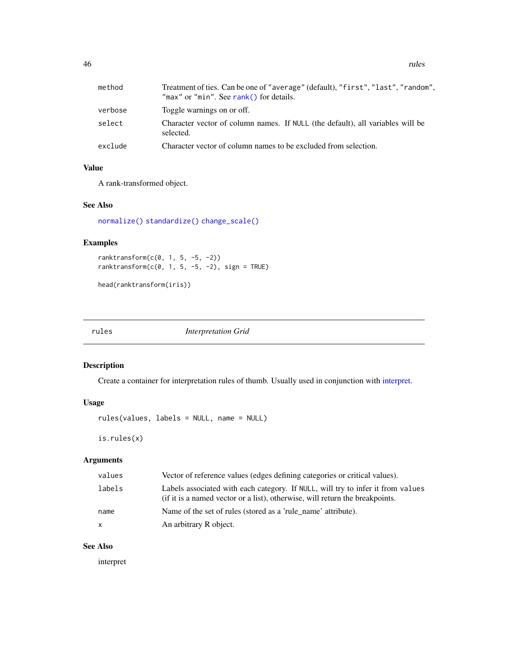<span id="page-45-0"></span>

| method  | Treatment of ties. Can be one of "average" (default), "first", "last", "random",<br>"max" or "min". See rank() for details. |
|---------|-----------------------------------------------------------------------------------------------------------------------------|
| verbose | Toggle warnings on or off.                                                                                                  |
| select  | Character vector of column names. If NULL (the default), all variables will be<br>selected.                                 |
| exclude | Character vector of column names to be excluded from selection.                                                             |

## Value

A rank-transformed object.

## See Also

[normalize\(\)](#page-39-1) [standardize\(\)](#page-47-1) [change\\_scale\(\)](#page-3-1)

## Examples

```
ranktransform(c(0, 1, 5, -5, -2))
ranktransform(c(0, 1, 5, -5, -2), sign = TRUE)
```

```
head(ranktransform(iris))
```
<span id="page-45-1"></span>

| rules | <b>Interpretation Grid</b> |  |
|-------|----------------------------|--|
|-------|----------------------------|--|

## Description

Create a container for interpretation rules of thumb. Usually used in conjunction with [interpret.](#page-24-1)

## Usage

```
rules(values, labels = NULL, name = NULL)
```
is.rules(x)

#### Arguments

| values       | Vector of reference values (edges defining categories or critical values).                                                                                      |
|--------------|-----------------------------------------------------------------------------------------------------------------------------------------------------------------|
| labels       | Labels associated with each category. If NULL, will try to infer it from values<br>(if it is a named vector or a list), otherwise, will return the breakpoints. |
| name         | Name of the set of rules (stored as a 'rule name' attribute).                                                                                                   |
| $\mathsf{X}$ | An arbitrary R object.                                                                                                                                          |

## See Also

interpret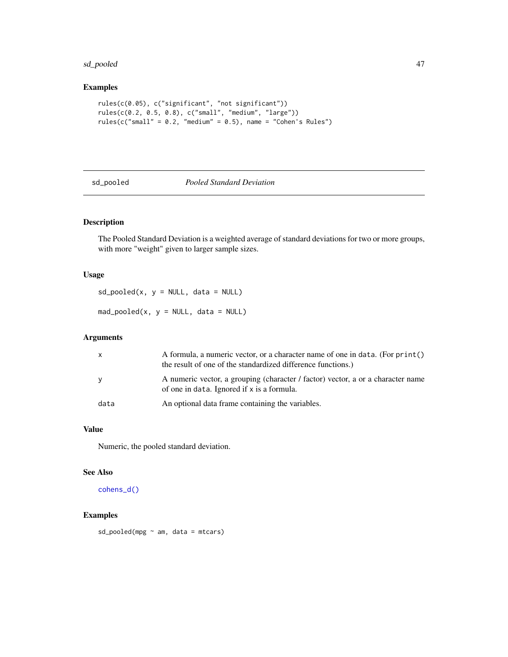## <span id="page-46-0"></span>sd\_pooled 47

## Examples

```
rules(c(0.05), c("significant", "not significant"))
rules(c(0.2, 0.5, 0.8), c("small", "medium", "large"))
rules(c("small" = 0.2, "medium" = 0.5), name = "Cohen's Rules")
```
## <span id="page-46-1"></span>sd\_pooled *Pooled Standard Deviation*

## Description

The Pooled Standard Deviation is a weighted average of standard deviations for two or more groups, with more "weight" given to larger sample sizes.

## Usage

 $sd\_pooled(x, y = NULL, data = NULL)$ 

 $mad\_pooled(x, y = NULL, data = NULL)$ 

## Arguments

| X    | A formula, a numeric vector, or a character name of one in data. (For print()<br>the result of one of the standardized difference functions.) |
|------|-----------------------------------------------------------------------------------------------------------------------------------------------|
| У    | A numeric vector, a grouping (character / factor) vector, a or a character name<br>of one in data. Ignored if x is a formula.                 |
| data | An optional data frame containing the variables.                                                                                              |

#### Value

Numeric, the pooled standard deviation.

#### See Also

[cohens\\_d\(\)](#page-6-1)

## Examples

 $sd\_pooled(mpg \sim am, data = mtcars)$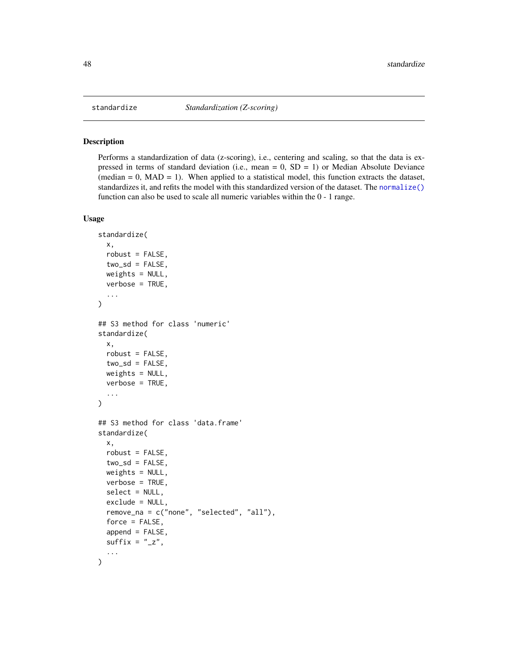<span id="page-47-1"></span><span id="page-47-0"></span>

#### Description

Performs a standardization of data (z-scoring), i.e., centering and scaling, so that the data is expressed in terms of standard deviation (i.e., mean  $= 0$ ,  $SD = 1$ ) or Median Absolute Deviance (median  $= 0$ , MAD  $= 1$ ). When applied to a statistical model, this function extracts the dataset, standardizes it, and refits the model with this standardized version of the dataset. The [normalize\(\)](#page-39-1) function can also be used to scale all numeric variables within the 0 - 1 range.

## Usage

```
standardize(
  x,
  robust = FALSE,
  two_s d = FALSE,weights = NULL,
  verbose = TRUE,
  ...
)
## S3 method for class 'numeric'
standardize(
  x,
  robust = FALSE,
  two_sd = FALSE,
 weights = NULL,
 verbose = TRUE,
  ...
)
## S3 method for class 'data.frame'
standardize(
 x,
  robust = FALSE,
  two_s d = FALSE,weights = NULL,verbose = TRUE,
  select = NULL,exclude = NULL,
  remove_na = c("none", "selected", "all"),
  force = FALSE,
  append = FALSE,suffix = "z",...
)
```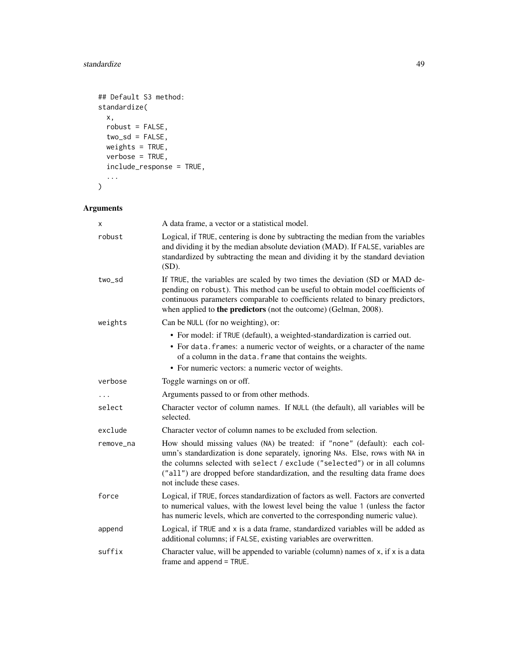## standardize 49

```
## Default S3 method:
standardize(
 x,
 robust = FALSE,
 two_sd = FALSE,weights = TRUE,
 verbose = TRUE,
 include_response = TRUE,
  ...
)
```
## Arguments

| x         | A data frame, a vector or a statistical model.                                                                                                                                                                                                                                                                                                       |
|-----------|------------------------------------------------------------------------------------------------------------------------------------------------------------------------------------------------------------------------------------------------------------------------------------------------------------------------------------------------------|
| robust    | Logical, if TRUE, centering is done by subtracting the median from the variables<br>and dividing it by the median absolute deviation (MAD). If FALSE, variables are<br>standardized by subtracting the mean and dividing it by the standard deviation<br>$(SD)$ .                                                                                    |
| two_sd    | If TRUE, the variables are scaled by two times the deviation (SD or MAD de-<br>pending on robust). This method can be useful to obtain model coefficients of<br>continuous parameters comparable to coefficients related to binary predictors,<br>when applied to <b>the predictors</b> (not the outcome) (Gelman, 2008).                            |
| weights   | Can be NULL (for no weighting), or:                                                                                                                                                                                                                                                                                                                  |
|           | • For model: if TRUE (default), a weighted-standardization is carried out.<br>• For data. frames: a numeric vector of weights, or a character of the name<br>of a column in the data. frame that contains the weights.<br>• For numeric vectors: a numeric vector of weights.                                                                        |
| verbose   | Toggle warnings on or off.                                                                                                                                                                                                                                                                                                                           |
|           |                                                                                                                                                                                                                                                                                                                                                      |
|           | Arguments passed to or from other methods.                                                                                                                                                                                                                                                                                                           |
| select    | Character vector of column names. If NULL (the default), all variables will be<br>selected.                                                                                                                                                                                                                                                          |
| exclude   | Character vector of column names to be excluded from selection.                                                                                                                                                                                                                                                                                      |
| remove_na | How should missing values (NA) be treated: if "none" (default): each col-<br>umn's standardization is done separately, ignoring NAs. Else, rows with NA in<br>the columns selected with select / exclude ("selected") or in all columns<br>("all") are dropped before standardization, and the resulting data frame does<br>not include these cases. |
| force     | Logical, if TRUE, forces standardization of factors as well. Factors are converted<br>to numerical values, with the lowest level being the value 1 (unless the factor<br>has numeric levels, which are converted to the corresponding numeric value).                                                                                                |
| append    | Logical, if TRUE and x is a data frame, standardized variables will be added as<br>additional columns; if FALSE, existing variables are overwritten.                                                                                                                                                                                                 |
| suffix    | Character value, will be appended to variable (column) names of x, if x is a data<br>frame and append = TRUE.                                                                                                                                                                                                                                        |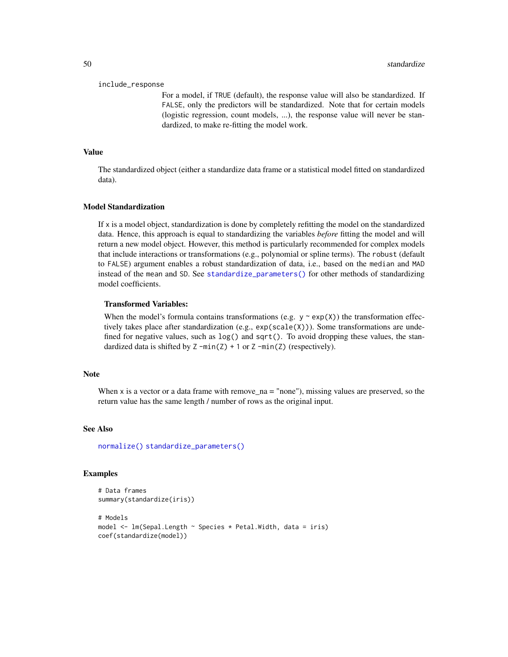#### <span id="page-49-0"></span>include\_response

For a model, if TRUE (default), the response value will also be standardized. If FALSE, only the predictors will be standardized. Note that for certain models (logistic regression, count models, ...), the response value will never be standardized, to make re-fitting the model work.

#### Value

The standardized object (either a standardize data frame or a statistical model fitted on standardized data).

#### Model Standardization

If x is a model object, standardization is done by completely refitting the model on the standardized data. Hence, this approach is equal to standardizing the variables *before* fitting the model and will return a new model object. However, this method is particularly recommended for complex models that include interactions or transformations (e.g., polynomial or spline terms). The robust (default to FALSE) argument enables a robust standardization of data, i.e., based on the median and MAD instead of the mean and SD. See [standardize\\_parameters\(\)](#page-51-1) for other methods of standardizing model coefficients.

#### Transformed Variables:

When the model's formula contains transformations (e.g.  $y \sim \exp(X)$ ) the transformation effectively takes place after standardization (e.g.,  $exp(scale(X))$ ). Some transformations are undefined for negative values, such as  $log()$  and  $sqrt()$ . To avoid dropping these values, the standardized data is shifted by  $Z - min(Z) + 1$  or  $Z - min(Z)$  (respectively).

## **Note**

When  $x$  is a vector or a data frame with remove\_na = "none"), missing values are preserved, so the return value has the same length / number of rows as the original input.

#### See Also

[normalize\(\)](#page-39-1) [standardize\\_parameters\(\)](#page-51-1)

```
# Data frames
summary(standardize(iris))
# Models
model \leq lm(Sepal.Length \sim Species * Petal.Width, data = iris)
coef(standardize(model))
```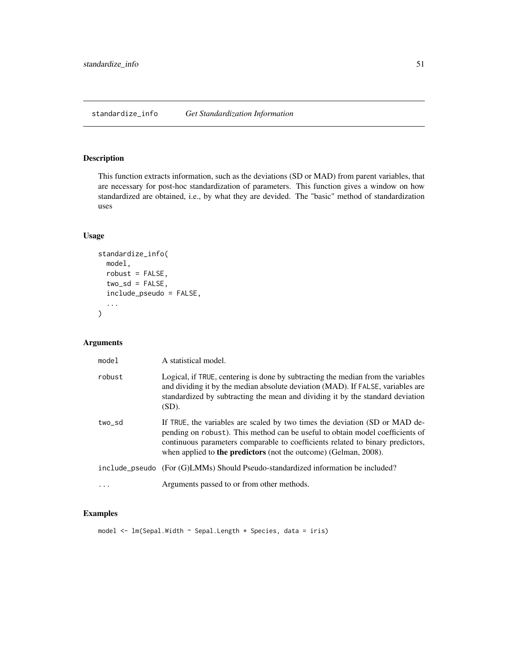## <span id="page-50-1"></span><span id="page-50-0"></span>Description

This function extracts information, such as the deviations (SD or MAD) from parent variables, that are necessary for post-hoc standardization of parameters. This function gives a window on how standardized are obtained, i.e., by what they are devided. The "basic" method of standardization uses

## Usage

```
standardize_info(
 model,
  robust = FALSE,
  two_s d = FALSE,include_pseudo = FALSE,
  ...
)
```
## Arguments

| model     | A statistical model.                                                                                                                                                                                                                                                                                                      |
|-----------|---------------------------------------------------------------------------------------------------------------------------------------------------------------------------------------------------------------------------------------------------------------------------------------------------------------------------|
| robust    | Logical, if TRUE, centering is done by subtracting the median from the variables<br>and dividing it by the median absolute deviation (MAD). If FALSE, variables are<br>standardized by subtracting the mean and dividing it by the standard deviation<br>$(SD)$ .                                                         |
| two sd    | If TRUE, the variables are scaled by two times the deviation (SD or MAD de-<br>pending on robust). This method can be useful to obtain model coefficients of<br>continuous parameters comparable to coefficients related to binary predictors,<br>when applied to <b>the predictors</b> (not the outcome) (Gelman, 2008). |
|           | include_pseudo (For (G)LMMs) Should Pseudo-standardized information be included?                                                                                                                                                                                                                                          |
| $\ddotsc$ | Arguments passed to or from other methods.                                                                                                                                                                                                                                                                                |

## Examples

model <- lm(Sepal.Width ~ Sepal.Length \* Species, data = iris)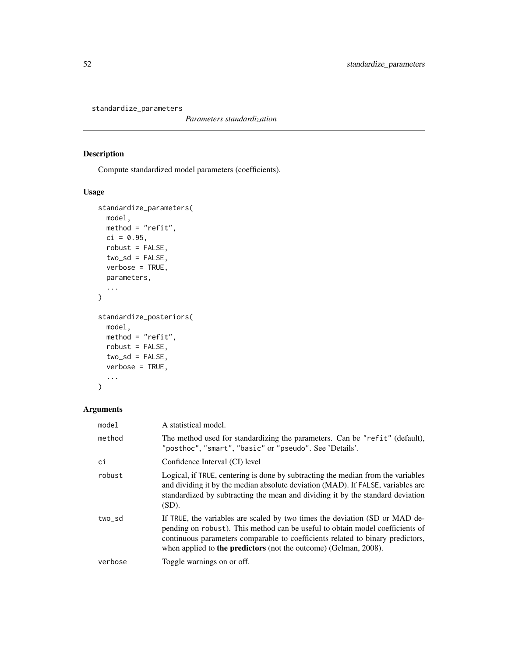```
standardize_parameters
```
*Parameters standardization*

## Description

Compute standardized model parameters (coefficients).

## Usage

```
standardize_parameters(
  model,
  method = "refit",
  ci = 0.95,
  robust = FALSE,two_s d = FALSE,verbose = TRUE,
  parameters,
  ...
\mathcal{L}standardize_posteriors(
  model,
  method = "refit",
  robust = FALSE,
  two_sd = FALSE,verbose = TRUE,
  ...
\mathcal{L}
```
## Arguments

| model   | A statistical model.                                                                                                                                                                                                                                                                                                      |
|---------|---------------------------------------------------------------------------------------------------------------------------------------------------------------------------------------------------------------------------------------------------------------------------------------------------------------------------|
| method  | The method used for standardizing the parameters. Can be "refit" (default),<br>"posthoc", "smart", "basic" or "pseudo". See 'Details'.                                                                                                                                                                                    |
| сi      | Confidence Interval (CI) level                                                                                                                                                                                                                                                                                            |
| robust  | Logical, if TRUE, centering is done by subtracting the median from the variables<br>and dividing it by the median absolute deviation (MAD). If FALSE, variables are<br>standardized by subtracting the mean and dividing it by the standard deviation<br>$(SD)$ .                                                         |
| two_sd  | If TRUE, the variables are scaled by two times the deviation (SD or MAD de-<br>pending on robust). This method can be useful to obtain model coefficients of<br>continuous parameters comparable to coefficients related to binary predictors,<br>when applied to <b>the predictors</b> (not the outcome) (Gelman, 2008). |
| verbose | Toggle warnings on or off.                                                                                                                                                                                                                                                                                                |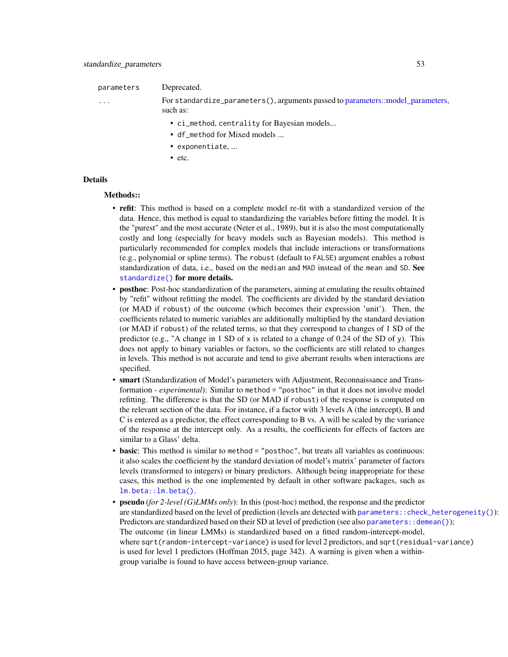## <span id="page-52-0"></span>parameters Deprecated.

... For standardize\_parameters(), arguments passed to [parameters::model\\_parameters,](#page-0-0) such as:

- ci\_method, centrality for Bayesian models...
- df\_method for Mixed models ...
- exponentiate, ...
- etc.

#### Details

#### Methods::

- refit: This method is based on a complete model re-fit with a standardized version of the data. Hence, this method is equal to standardizing the variables before fitting the model. It is the "purest" and the most accurate (Neter et al., 1989), but it is also the most computationally costly and long (especially for heavy models such as Bayesian models). This method is particularly recommended for complex models that include interactions or transformations (e.g., polynomial or spline terms). The robust (default to FALSE) argument enables a robust standardization of data, i.e., based on the median and MAD instead of the mean and SD. See [standardize\(\)](#page-47-1) for more details.
- posthoc: Post-hoc standardization of the parameters, aiming at emulating the results obtained by "refit" without refitting the model. The coefficients are divided by the standard deviation (or MAD if robust) of the outcome (which becomes their expression 'unit'). Then, the coefficients related to numeric variables are additionally multiplied by the standard deviation (or MAD if robust) of the related terms, so that they correspond to changes of 1 SD of the predictor (e.g., "A change in 1 SD of x is related to a change of 0.24 of the SD of y). This does not apply to binary variables or factors, so the coefficients are still related to changes in levels. This method is not accurate and tend to give aberrant results when interactions are specified.
- smart (Standardization of Model's parameters with Adjustment, Reconnaissance and Transformation - *experimental*): Similar to method = "posthoc" in that it does not involve model refitting. The difference is that the SD (or MAD if robust) of the response is computed on the relevant section of the data. For instance, if a factor with 3 levels A (the intercept), B and C is entered as a predictor, the effect corresponding to B vs. A will be scaled by the variance of the response at the intercept only. As a results, the coefficients for effects of factors are similar to a Glass' delta.
- basic: This method is similar to method = "posthoc", but treats all variables as continuous: it also scales the coefficient by the standard deviation of model's matrix' parameter of factors levels (transformed to integers) or binary predictors. Although being inappropriate for these cases, this method is the one implemented by default in other software packages, such as [lm.beta::lm.beta\(\)](#page-0-0).
- pseudo (*for 2-level (G)LMMs only*): In this (post-hoc) method, the response and the predictor are standardized based on the level of prediction (levels are detected with [parameters::check\\_heterogeneity\(\)](#page-0-0)): Predictors are standardized based on their SD at level of prediction (see also parameters::  $demean()$ ); The outcome (in linear LMMs) is standardized based on a fitted random-intercept-model, where sqrt(random-intercept-variance) is used for level 2 predictors, and sqrt(residual-variance) is used for level 1 predictors (Hoffman 2015, page 342). A warning is given when a withingroup varialbe is found to have access between-group variance.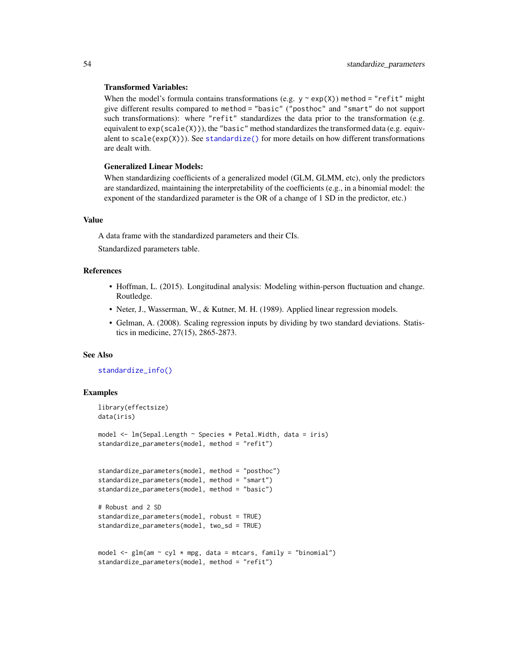#### <span id="page-53-0"></span>Transformed Variables:

When the model's formula contains transformations (e.g.  $y \sim \exp(X)$ ) method = "refit" might give different results compared to method = "basic" ("posthoc" and "smart" do not support such transformations): where "refit" standardizes the data prior to the transformation (e.g. equivalent to  $exp(scale(X))$ , the "basic" method standardizes the transformed data (e.g. equivalent to  $scale(exp(X))$ . See [standardize\(\)](#page-47-1) for more details on how different transformations are dealt with.

#### Generalized Linear Models:

When standardizing coefficients of a generalized model (GLM, GLMM, etc), only the predictors are standardized, maintaining the interpretability of the coefficients (e.g., in a binomial model: the exponent of the standardized parameter is the OR of a change of 1 SD in the predictor, etc.)

## Value

A data frame with the standardized parameters and their CIs.

Standardized parameters table.

#### References

- Hoffman, L. (2015). Longitudinal analysis: Modeling within-person fluctuation and change. Routledge.
- Neter, J., Wasserman, W., & Kutner, M. H. (1989). Applied linear regression models.
- Gelman, A. (2008). Scaling regression inputs by dividing by two standard deviations. Statistics in medicine, 27(15), 2865-2873.

#### See Also

[standardize\\_info\(\)](#page-50-1)

```
library(effectsize)
data(iris)
model <- lm(Sepal.Length ~ Species * Petal.Width, data = iris)
standardize_parameters(model, method = "refit")
standardize_parameters(model, method = "posthoc")
standardize_parameters(model, method = "smart")
standardize_parameters(model, method = "basic")
# Robust and 2 SD
standardize_parameters(model, robust = TRUE)
standardize_parameters(model, two_sd = TRUE)
model \leq glm(am \sim cyl \star mpg, data = mtcars, family = "binomial")
standardize_parameters(model, method = "refit")
```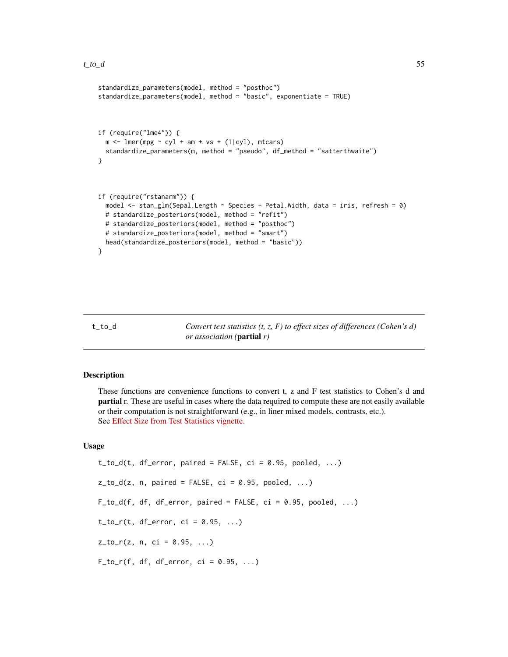#### <span id="page-54-0"></span> $t_{\text{tot}}$  55

```
standardize_parameters(model, method = "posthoc")
standardize_parameters(model, method = "basic", exponentiate = TRUE)
if (require("lme4")) {
 m \le - lmer(mpg \sim cyl + am + vs + (1|cyl), mtcars)
 standardize_parameters(m, method = "pseudo", df_method = "satterthwaite")
}
if (require("rstanarm")) {
 model <- stan_glm(Sepal.Length ~ Species + Petal.Width, data = iris, refresh = 0)
 # standardize_posteriors(model, method = "refit")
 # standardize_posteriors(model, method = "posthoc")
 # standardize_posteriors(model, method = "smart")
 head(standardize_posteriors(model, method = "basic"))
}
```
<span id="page-54-1"></span>t\_to\_d *Convert test statistics (t, z, F) to effect sizes of differences (Cohen's d) or association (*partial *r)*

## <span id="page-54-2"></span>Description

These functions are convenience functions to convert t, z and F test statistics to Cohen's d and partial r. These are useful in cases where the data required to compute these are not easily available or their computation is not straightforward (e.g., in liner mixed models, contrasts, etc.). See [Effect Size from Test Statistics vignette.](https://easystats.github.io/effectsize/articles/from_test_statistics.html)

#### Usage

```
t_to_d(t, df_error, paired = FALSE, ci = 0.95, pooled, ...)z_to_d(z, n, paired = FALSE, ci = 0.95, pooled, ...)F_to_d(f, df, df_error, paired = FALSE, ci = 0.95, pooled, ...)t_to_r(t, df_error, ci = 0.95, ...)z_to_r(z, n, ci = 0.95, ...)F_to_r(f, df, df_error, ci = 0.95, ...)
```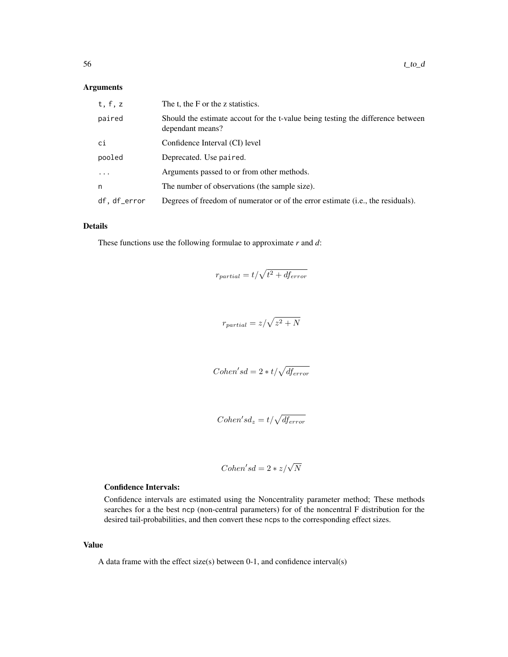## Arguments

| t, f, z           | The t, the F or the z statistics.                                                                   |
|-------------------|-----------------------------------------------------------------------------------------------------|
| paired            | Should the estimate accout for the t-value being testing the difference between<br>dependant means? |
| ci                | Confidence Interval (CI) level                                                                      |
| pooled            | Deprecated. Use paired.                                                                             |
| $\cdot\cdot\cdot$ | Arguments passed to or from other methods.                                                          |
| n                 | The number of observations (the sample size).                                                       |
| df, df_error      | Degrees of freedom of numerator or of the error estimate (i.e., the residuals).                     |

## Details

These functions use the following formulae to approximate *r* and *d*:

$$
r_{partial}=t/\sqrt{t^2+df_{error}}
$$

$$
r_{partial} = z/\sqrt{z^2 + N}
$$

$$
Cohen'sd = 2 * t / \sqrt{df_{error}}
$$

$$
Cohen'sd_z = t/\sqrt{df_{error}}
$$

$$
Cohen'sd = 2 * z/\sqrt{N}
$$

## Confidence Intervals:

Confidence intervals are estimated using the Noncentrality parameter method; These methods searches for a the best ncp (non-central parameters) for of the noncentral F distribution for the desired tail-probabilities, and then convert these ncps to the corresponding effect sizes.

#### Value

A data frame with the effect size(s) between  $0-1$ , and confidence interval(s)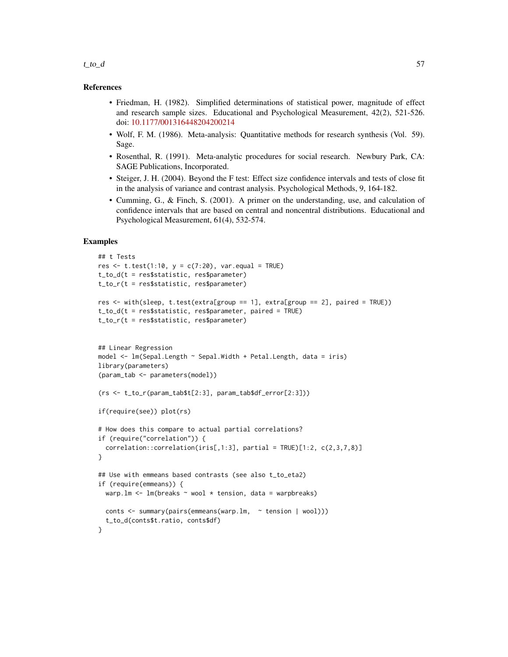#### $t_{\text{tot}}$  57

#### References

- Friedman, H. (1982). Simplified determinations of statistical power, magnitude of effect and research sample sizes. Educational and Psychological Measurement, 42(2), 521-526. doi: [10.1177/001316448204200214](https://doi.org/10.1177/001316448204200214)
- Wolf, F. M. (1986). Meta-analysis: Quantitative methods for research synthesis (Vol. 59). Sage.
- Rosenthal, R. (1991). Meta-analytic procedures for social research. Newbury Park, CA: SAGE Publications, Incorporated.
- Steiger, J. H. (2004). Beyond the F test: Effect size confidence intervals and tests of close fit in the analysis of variance and contrast analysis. Psychological Methods, 9, 164-182.
- Cumming, G., & Finch, S. (2001). A primer on the understanding, use, and calculation of confidence intervals that are based on central and noncentral distributions. Educational and Psychological Measurement, 61(4), 532-574.

```
## t Tests
res \le t.test(1:10, y = c(7:20), var.equal = TRUE)
t_to_d(t = res$statistic, res$parameter)
t_to_r(t = res$statistic, res$parameter)
res <- with(sleep, t.test(extra[group == 1], extra[group == 2], paired = TRUE))
t_to_d(t = res$statistic, res$parameter, paired = TRUE)
t_to_r(t = res$statistic, res$parameter)
## Linear Regression
model <- lm(Sepal.Length ~ Sepal.Width + Petal.Length, data = iris)
library(parameters)
(param_tab <- parameters(model))
(rs <- t_to_r(param_tab$t[2:3], param_tab$df_error[2:3]))
if(require(see)) plot(rs)
# How does this compare to actual partial correlations?
if (require("correlation")) {
 correlation::correlation(iris[,1:3], partial = TRUE)[1:2, c(2,3,7,8)]
}
## Use with emmeans based contrasts (see also t_to_eta2)
if (require(emmeans)) {
 warp.lm \leq lm(breaks \sim wool \star tension, data = warpbreaks)
 conts <- summary(pairs(emmeans(warp.lm, ~ tension | wool)))
  t_to_d(conts$t.ratio, conts$df)
}
```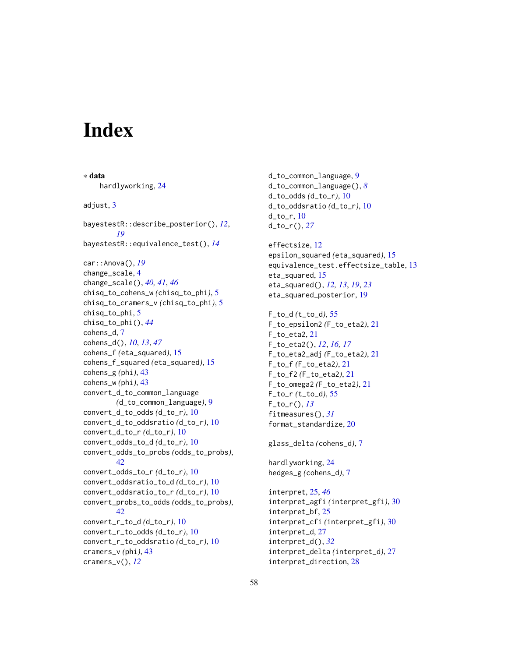# <span id="page-57-0"></span>**Index**

∗ data hardlyworking, [24](#page-23-0) adjust, [3](#page-2-0) bayestestR::describe\_posterior(), *[12](#page-11-0)*, *[19](#page-18-0)* bayestestR::equivalence\_test(), *[14](#page-13-0)* car::Anova(), *[19](#page-18-0)* change\_scale, [4](#page-3-0) change\_scale(), *[40,](#page-39-0) [41](#page-40-0)*, *[46](#page-45-0)* chisq\_to\_cohens\_w *(*chisq\_to\_phi*)*, [5](#page-4-0) chisq\_to\_cramers\_v *(*chisq\_to\_phi*)*, [5](#page-4-0) chisq\_to\_phi, [5](#page-4-0) chisq\_to\_phi(), *[44](#page-43-0)* cohens\_d, [7](#page-6-0) cohens\_d(), *[10](#page-9-0)*, *[13](#page-12-0)*, *[47](#page-46-0)* cohens\_f *(*eta\_squared*)*, [15](#page-14-0) cohens\_f\_squared *(*eta\_squared*)*, [15](#page-14-0) cohens\_g *(*phi*)*, [43](#page-42-0) cohens\_w *(*phi*)*, [43](#page-42-0) convert\_d\_to\_common\_language *(*d\_to\_common\_language*)*, [9](#page-8-0) convert\_d\_to\_odds *(*d\_to\_r*)*, [10](#page-9-0) convert\_d\_to\_oddsratio *(*d\_to\_r*)*, [10](#page-9-0) convert\_d\_to\_r *(*d\_to\_r*)*, [10](#page-9-0) convert\_odds\_to\_d *(*d\_to\_r*)*, [10](#page-9-0) convert\_odds\_to\_probs *(*odds\_to\_probs*)*, [42](#page-41-0) convert\_odds\_to\_r *(*d\_to\_r*)*, [10](#page-9-0) convert\_oddsratio\_to\_d *(*d\_to\_r*)*, [10](#page-9-0) convert\_oddsratio\_to\_r *(*d\_to\_r*)*, [10](#page-9-0) convert\_probs\_to\_odds *(*odds\_to\_probs*)*, [42](#page-41-0) convert\_r\_to\_d *(*d\_to\_r*)*, [10](#page-9-0) convert\_r\_to\_odds *(*d\_to\_r*)*, [10](#page-9-0) convert\_r\_to\_oddsratio *(*d\_to\_r*)*, [10](#page-9-0) cramers\_v *(*phi*)*, [43](#page-42-0) cramers\_v(), *[12](#page-11-0)*

d\_to\_common\_language, [9](#page-8-0) d\_to\_common\_language(), *[8](#page-7-0)* d\_to\_odds *(*d\_to\_r*)*, [10](#page-9-0) d\_to\_oddsratio *(*d\_to\_r*)*, [10](#page-9-0)  $d_t$ to\_r,  $10$ d\_to\_r(), *[27](#page-26-0)*

effectsize, [12](#page-11-0) epsilon\_squared *(*eta\_squared*)*, [15](#page-14-0) equivalence\_test.effectsize\_table, [13](#page-12-0) eta\_squared, [15](#page-14-0) eta\_squared(), *[12,](#page-11-0) [13](#page-12-0)*, *[19](#page-18-0)*, *[23](#page-22-0)* eta\_squared\_posterior, [19](#page-18-0)

F\_to\_d *(*t\_to\_d*)*, [55](#page-54-0) F\_to\_epsilon2 *(*F\_to\_eta2*)*, [21](#page-20-0) F\_to\_eta2, [21](#page-20-0) F\_to\_eta2(), *[12](#page-11-0)*, *[16,](#page-15-0) [17](#page-16-0)* F\_to\_eta2\_adj *(*F\_to\_eta2*)*, [21](#page-20-0) F\_to\_f *(*F\_to\_eta2*)*, [21](#page-20-0) F\_to\_f2 *(*F\_to\_eta2*)*, [21](#page-20-0) F\_to\_omega2 *(*F\_to\_eta2*)*, [21](#page-20-0) F\_to\_r *(*t\_to\_d*)*, [55](#page-54-0) F\_to\_r(), *[13](#page-12-0)* fitmeasures(), *[31](#page-30-0)* format\_standardize, [20](#page-19-0)

glass\_delta *(*cohens\_d*)*, [7](#page-6-0)

hardlyworking, [24](#page-23-0) hedges\_g *(*cohens\_d*)*, [7](#page-6-0)

interpret, [25,](#page-24-0) *[46](#page-45-0)* interpret\_agfi *(*interpret\_gfi*)*, [30](#page-29-0) interpret\_bf, [25](#page-24-0) interpret\_cfi *(*interpret\_gfi*)*, [30](#page-29-0) interpret\_d, [27](#page-26-0) interpret\_d(), *[32](#page-31-0)* interpret\_delta *(*interpret\_d*)*, [27](#page-26-0) interpret\_direction, [28](#page-27-0)